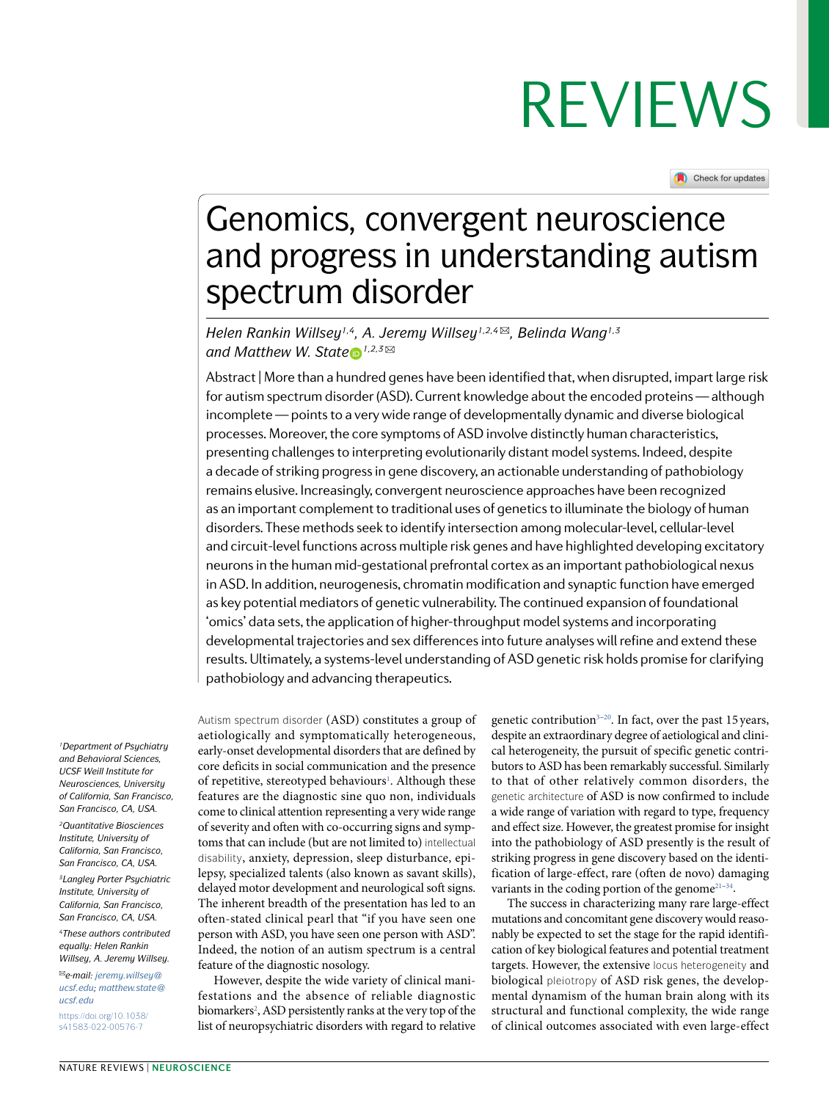Check for updates

## Genomics, convergent neuroscience and progress in understanding autism spectrum disorder

*Helen Rankin Willsey1,4, A. Jeremy Willsey1,2,4* ✉*, Belinda Wang1,3 andMatthew W. State*<sup>*n*</sup>,2,3⊠

Abstract | More than a hundred genes have been identified that, when disrupted, impart large risk for autism spectrum disorder (ASD). Current knowledge about the encoded proteins — although incomplete — points to a very wide range of developmentally dynamic and diverse biological processes. Moreover, the core symptoms of ASD involve distinctly human characteristics, presenting challenges to interpreting evolutionarily distant model systems. Indeed, despite a decade of striking progress in gene discovery, an actionable understanding of pathobiology remains elusive. Increasingly, convergent neuroscience approaches have been recognized as an important complement to traditional uses of genetics to illuminate the biology of human disorders. These methods seek to identify intersection among molecular- level, cellular- level and circuit- level functions across multiple risk genes and have highlighted developing excitatory neurons in the human mid- gestational prefrontal cortex as an important pathobiological nexus in ASD. In addition, neurogenesis, chromatin modification and synaptic function have emerged as key potential mediators of genetic vulnerability. The continued expansion of foundational 'omics' data sets, the application of higher- throughput model systems and incorporating developmental trajectories and sex differences into future analyses will refine and extend these results. Ultimately, a systems- level understanding of ASD genetic risk holds promise for clarifying pathobiology and advancing therapeutics.

*<sup>1</sup>Department of Psychiatry and Behavioral Sciences, UCSF Weill Institute for Neurosciences, University of California, San Francisco, San Francisco, CA, USA.*

*<sup>2</sup>Quantitative Biosciences Institute, University of California, San Francisco, San Francisco, CA, USA.*

*<sup>3</sup>Langley Porter Psychiatric Institute, University of California, San Francisco, San Francisco, CA, USA.*

*<sup>4</sup>These authors contributed equally: Helen Rankin Willsey, A. Jeremy Willsey.* 

✉*e- mail: [jeremy.willsey@](mailto:jeremy.willsey@
ucsf.edu)  [ucsf.edu](mailto:jeremy.willsey@
ucsf.edu); [matthew.state@](mailto:matthew.state@ucsf.edu) [ucsf.edu](mailto:matthew.state@ucsf.edu)* [https://doi.org/10.1038/](https://doi.org/10.1038/s41583-022-00576-7)  [s41583-022-00576-7](https://doi.org/10.1038/s41583-022-00576-7)

Autism spectrum disorder (ASD) constitutes a group of aetiologically and symptomatically heterogeneous, early- onset developmental disorders that are defined by core deficits in social communication and the presence of repetitive, stereotyped behaviours<sup>[1](#page-14-0)</sup>. Although these features are the diagnostic sine quo non, individuals come to clinical attention representing a very wide range of severity and often with co- occurring signs and symptoms that can include (but are not limited to) intellectual disability, anxiety, depression, sleep disturbance, epilepsy, specialized talents (also known as savant skills), delayed motor development and neurological soft signs. The inherent breadth of the presentation has led to an often- stated clinical pearl that "if you have seen one person with ASD, you have seen one person with ASD". Indeed, the notion of an autism spectrum is a central feature of the diagnostic nosology.

However, despite the wide variety of clinical manifestations and the absence of reliable diagnostic biomarkers<sup>[2](#page-14-1)</sup>, ASD persistently ranks at the very top of the list of neuropsychiatric disorders with regard to relative

genetic contribution<sup>[3](#page-14-2)-[20](#page-14-3)</sup>. In fact, over the past 15 years, despite an extraordinary degree of aetiological and clinical heterogeneity, the pursuit of specific genetic contributors to ASD has been remarkably successful. Similarly to that of other relatively common disorders, the genetic architecture of ASD is now confirmed to include a wide range of variation with regard to type, frequency and effect size. However, the greatest promise for insight into the pathobiology of ASD presently is the result of striking progress in gene discovery based on the identification of large- effect, rare (often de novo) damaging variants in the coding portion of the genome $2^{1-34}$  $2^{1-34}$  $2^{1-34}$ .

The success in characterizing many rare large- effect mutations and concomitant gene discovery would reasonably be expected to set the stage for the rapid identification of key biological features and potential treatment targets. However, the extensive locus heterogeneity and biological pleiotropy of ASD risk genes, the developmental dynamism of the human brain along with its structural and functional complexity, the wide range of clinical outcomes associated with even large- effect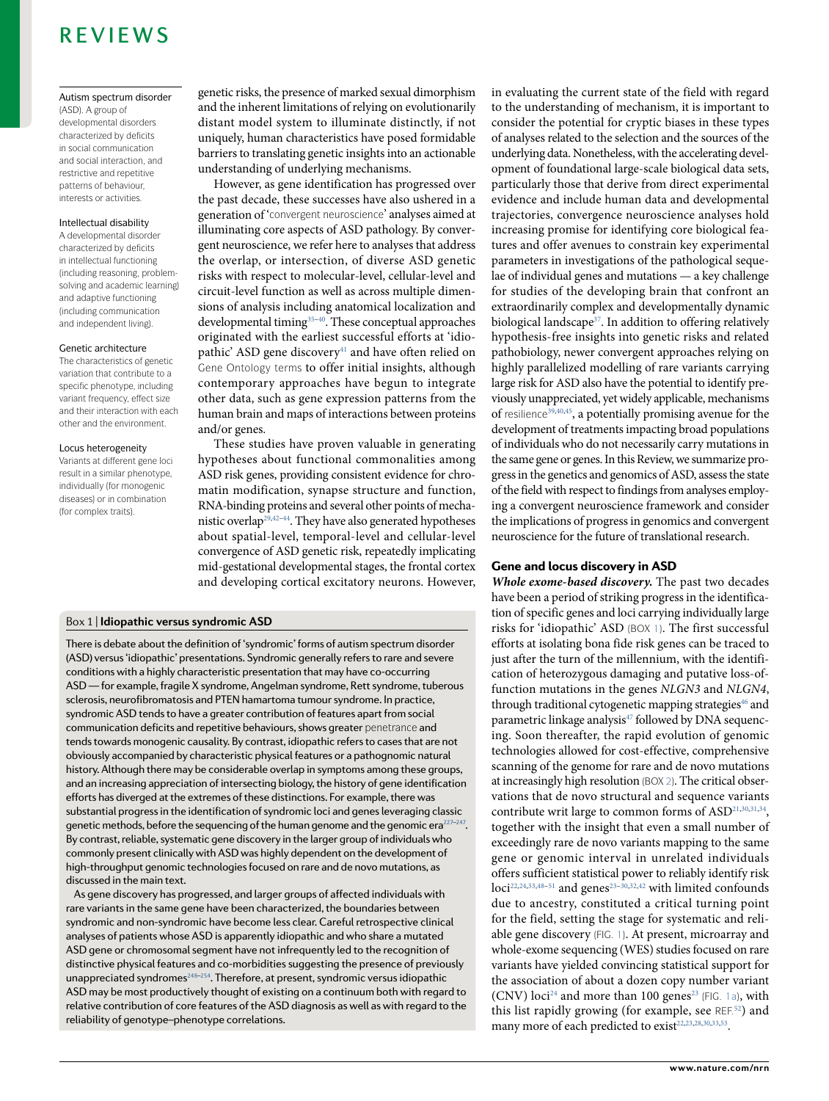#### Autism spectrum disorder

(ASD). A group of developmental disorders characterized by deficits in social communication and social interaction, and restrictive and repetitive patterns of behaviour, interests or activities.

#### Intellectual disability

A developmental disorder characterized by deficits in intellectual functioning (including reasoning, problemsolving and academic learning) and adaptive functioning (including communication and independent living).

#### Genetic architecture

The characteristics of genetic variation that contribute to a specific phenotype, including variant frequency, effect size and their interaction with each other and the environment.

#### Locus heterogeneity

Variants at different gene loci result in a similar phenotype, individually (for monogenic diseases) or in combination (for complex traits).

genetic risks, the presence of marked sexual dimorphism and the inherent limitations of relying on evolutionarily distant model system to illuminate distinctly, if not uniquely, human characteristics have posed formidable barriers to translating genetic insights into an actionable understanding of underlying mechanisms.

However, as gene identification has progressed over the past decade, these successes have also ushered in a generation of 'convergent neuroscience' analyses aimed at illuminating core aspects of ASD pathology. By convergent neuroscience, we refer here to analyses that address the overlap, or intersection, of diverse ASD genetic risks with respect to molecular- level, cellular- level and circuit- level function as well as across multiple dimensions of analysis including anatomical localization and developmental timing<sup>35-[40](#page-15-2)</sup>. These conceptual approaches originated with the earliest successful efforts at 'idio-pathic' ASD gene discovery<sup>[41](#page-15-3)</sup> and have often relied on Gene Ontology terms to offer initial insights, although contemporary approaches have begun to integrate other data, such as gene expression patterns from the human brain and maps of interactions between proteins and/or genes.

These studies have proven valuable in generating hypotheses about functional commonalities among ASD risk genes, providing consistent evidence for chromatin modification, synapse structure and function, RNA- binding proteins and several other points of mecha-nistic overlap<sup>[29](#page-14-5),[42](#page-15-4)[–44](#page-15-5)</sup>. They have also generated hypotheses about spatial- level, temporal- level and cellular- level convergence of ASD genetic risk, repeatedly implicating mid- gestational developmental stages, the frontal cortex and developing cortical excitatory neurons. However,

#### <span id="page-1-0"></span>Box 1 | **Idiopathic versus syndromic ASD**

There is debate about the definition of 'syndromic' forms of autism spectrum disorder (ASD) versus 'idiopathic' presentations. Syndromic generally refers to rare and severe conditions with a highly characteristic presentation that may have co- occurring ASD — for example, fragile X syndrome, Angelman syndrome, Rett syndrome, tuberous sclerosis, neurofibromatosis and PTEN hamartoma tumour syndrome. In practice, syndromic ASD tends to have a greater contribution of features apart from social communication deficits and repetitive behaviours, shows greater penetrance and tends towards monogenic causality. By contrast, idiopathic refers to cases that are not obviously accompanied by characteristic physical features or a pathognomic natural history. Although there may be considerable overlap in symptoms among these groups, and an increasing appreciation of intersecting biology, the history of gene identification efforts has diverged at the extremes of these distinctions. For example, there was substantial progress in the identification of syndromic loci and genes leveraging classic genetic methods, before the sequencing of the human genome and the genomic era<sup>227-[247](#page-18-1)</sup>. By contrast, reliable, systematic gene discovery in the larger group of individuals who commonly present clinically with ASD was highly dependent on the development of high- throughput genomic technologies focused on rare and de novo mutations, as discussed in the main text.

As gene discovery has progressed, and larger groups of affected individuals with rare variants in the same gene have been characterized, the boundaries between syndromic and non- syndromic have become less clear. Careful retrospective clinical analyses of patients whose ASD is apparently idiopathic and who share a mutated ASD gene or chromosomal segment have not infrequently led to the recognition of distinctive physical features and co- morbidities suggesting the presence of previously unappreciated syndromes<sup>[248–](#page-18-2)[254](#page-18-3)</sup>. Therefore, at present, syndromic versus idiopathic ASD may be most productively thought of existing on a continuum both with regard to relative contribution of core features of the ASD diagnosis as well as with regard to the reliability of genotype–phenotype correlations.

in evaluating the current state of the field with regard to the understanding of mechanism, it is important to consider the potential for cryptic biases in these types of analyses related to the selection and the sources of the underlying data. Nonetheless, with the accelerating development of foundational large- scale biological data sets, particularly those that derive from direct experimental evidence and include human data and developmental trajectories, convergence neuroscience analyses hold increasing promise for identifying core biological features and offer avenues to constrain key experimental parameters in investigations of the pathological sequelae of individual genes and mutations — a key challenge for studies of the developing brain that confront an extraordinarily complex and developmentally dynamic biological landscape<sup>[37](#page-15-6)</sup>. In addition to offering relatively hypothesis- free insights into genetic risks and related pathobiology, newer convergent approaches relying on highly parallelized modelling of rare variants carrying large risk for ASD also have the potential to identify previously unappreciated, yet widely applicable, mechanisms of resilience<sup>[39,](#page-15-7)[40](#page-15-2)[,45](#page-15-8)</sup>, a potentially promising avenue for the development of treatments impacting broad populations of individuals who do not necessarily carry mutations in the same gene or genes. In this Review, we summarize progress in the genetics and genomics of ASD, assess the state of the field with respect to findings from analyses employing a convergent neuroscience framework and consider the implications of progress in genomics and convergent neuroscience for the future of translational research.

### Gene and locus discovery in ASD

**Whole exome- based discovery.** The past two decades have been a period of striking progress in the identification of specific genes and loci carrying individually large risks for 'idiopathic' ASD (BOx [1](#page-1-0)). The first successful efforts at isolating bona fide risk genes can be traced to just after the turn of the millennium, with the identification of heterozygous damaging and putative loss-offunction mutations in the genes NLGN3 and NLGN4, through traditional cytogenetic mapping strategies<sup>[46](#page-15-9)</sup> and parametric linkage analysis<sup>[47](#page-15-10)</sup> followed by DNA sequencing. Soon thereafter, the rapid evolution of genomic technologies allowed for cost-effective, comprehensive scanning of the genome for rare and de novo mutations at increasingly high resolution (BOx [2\)](#page-2-0). The critical observations that de novo structural and sequence variants contribute writ large to common forms of ASD<sup>[21,](#page-14-4)[30](#page-14-6)[,31](#page-14-7),[34](#page-15-0)</sup>, together with the insight that even a small number of exceedingly rare de novo variants mapping to the same gene or genomic interval in unrelated individuals offers sufficient statistical power to reliably identify risk  $loci^{22,24,33,48-51}$  $loci^{22,24,33,48-51}$  $loci^{22,24,33,48-51}$  $loci^{22,24,33,48-51}$  $loci^{22,24,33,48-51}$  $loci^{22,24,33,48-51}$  $loci^{22,24,33,48-51}$  $loci^{22,24,33,48-51}$  $loci^{22,24,33,48-51}$  and genes<sup>[23](#page-14-10)-30[,32,](#page-14-11)[42](#page-15-4)</sup> with limited confounds due to ancestry, constituted a critical turning point for the field, setting the stage for systematic and reliable gene discovery (FiG. [1\)](#page-4-0). At present, microarray and whole- exome sequencing (WES) studies focused on rare variants have yielded convincing statistical support for the association of about a dozen copy number variant (CNV) loci<sup>[24](#page-14-9)</sup> and more than 100 genes<sup>[23](#page-14-10)</sup> (FIG. [1a\)](#page-4-0), with this list rapidly growing (for example, see REF.<sup>[52](#page-15-14)</sup>) and many more of each predicted to exist<sup>[22](#page-14-8),[23,](#page-14-10)[28](#page-14-12)[,30](#page-14-6),[33,](#page-15-11)[53](#page-15-15)</sup>.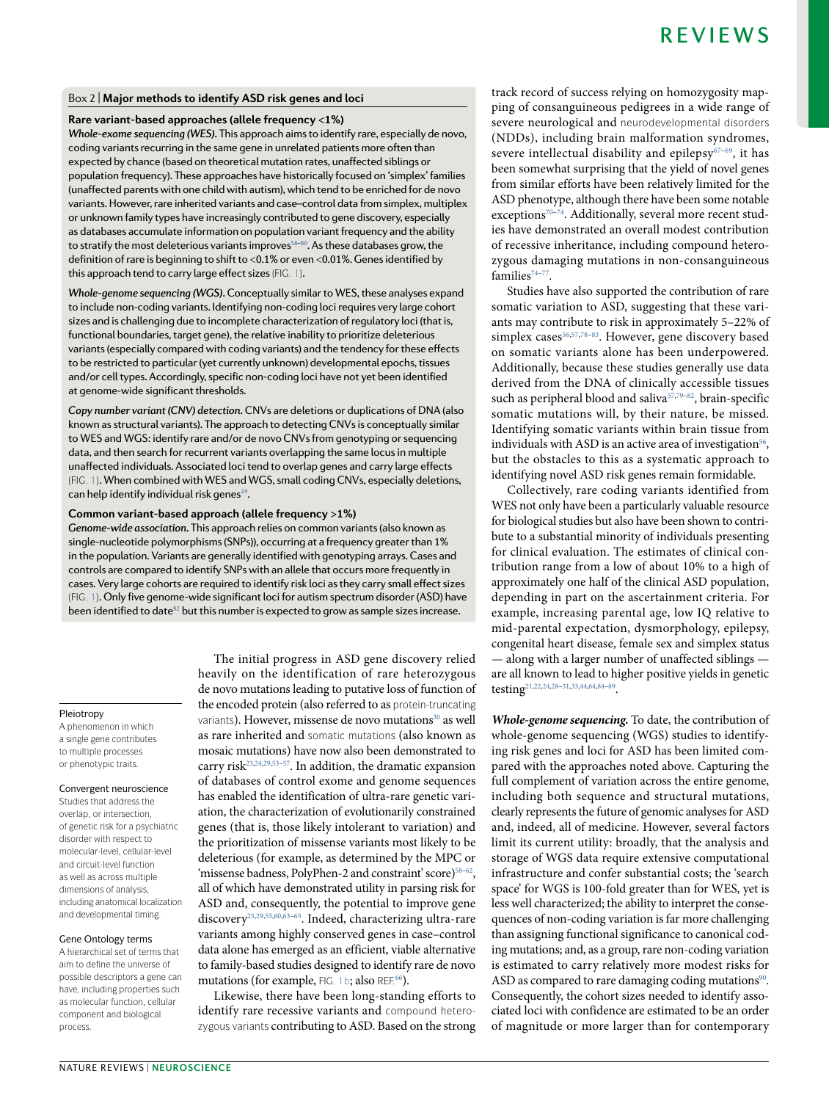#### <span id="page-2-0"></span>Box 2 | **Major methods to identify ASD risk genes and loci**

#### **Rare variant- based approaches (allele frequency <1%)**

*Whole- exome sequencing (WES).* This approach aims to identify rare, especially de novo, coding variants recurring in the same gene in unrelated patients more often than expected by chance (based on theoretical mutation rates, unaffected siblings or population frequency). These approaches have historically focused on 'simplex' families (unaffected parents with one child with autism), which tend to be enriched for de novo variants. However, rare inherited variants and case–control data from simplex, multiplex or unknown family types have increasingly contributed to gene discovery, especially as databases accumulate information on population variant frequency and the ability to stratify the most deleterious variants improves $58-60$  $58-60$ . As these databases grow, the definition of rare is beginning to shift to <0.1% or even <0.01%. Genes identified by this approach tend to carry large effect sizes (FiG. [1](#page-4-0)).

*Whole- genome sequencing (WGS).* Conceptually similar to WES, these analyses expand to include non-coding variants. Identifying non-coding loci requires very large cohort sizes and is challenging due to incomplete characterization of regulatory loci (that is, functional boundaries, target gene), the relative inability to prioritize deleterious variants (especially compared with coding variants) and the tendency for these effects to be restricted to particular (yet currently unknown) developmental epochs, tissues and/or cell types. Accordingly, specific non- coding loci have not yet been identified at genome-wide significant thresholds.

*Copy number variant (CNV) detection.* CNVs are deletions or duplications of DNA (also known as structural variants). The approach to detecting CNVs is conceptually similar to WES and WGS: identify rare and/or de novo CNVs from genotyping or sequencing data, and then search for recurrent variants overlapping the same locus in multiple unaffected individuals. Associated loci tend to overlap genes and carry large effects (FiG. [1](#page-4-0)). When combined with WES and WGS, small coding CNVs, especially deletions, can help identify individual risk genes<sup>[24](#page-14-9)</sup>.

#### **Common variant- based approach (allele frequency >1%)**

*Genome- wide association.* This approach relies on common variants (also known as single- nucleotide polymorphisms (SNPs)), occurring at a frequency greater than 1% in the population. Variants are generally identified with genotyping arrays. Cases and controls are compared to identify SNPs with an allele that occurs more frequently in cases. Very large cohorts are required to identify risk loci as they carry small effect sizes (FiG. [1](#page-4-0)). Only five genome- wide significant loci for autism spectrum disorder (ASD) have been identified to date $92$  but this number is expected to grow as sample sizes increase.

#### Pleiotropy

A phenomenon in which a single gene contributes to multiple processes or phenotypic traits.

#### Convergent neuroscience

Studies that address the overlap, or intersection, of genetic risk for a psychiatric disorder with respect to molecular-level, cellular-level and circuit-level function as well as across multiple dimensions of analysis, including anatomical localization and developmental timing.

#### Gene Ontology terms

A hierarchical set of terms that aim to define the universe of possible descriptors a gene can have, including properties such as molecular function, cellular component and biological process.

The initial progress in ASD gene discovery relied heavily on the identification of rare heterozygous de novo mutations leading to putative loss of function of the encoded protein (also referred to as protein-truncating variants). However, missense de novo mutations<sup>[30](#page-14-6)</sup> as well as rare inherited and somatic mutations (also known as mosaic mutations) have now also been demonstrated to carry risk<sup>[23,](#page-14-10)[24](#page-14-9)[,29](#page-14-5),53-[57](#page-15-16)</sup>. In addition, the dramatic expansion of databases of control exome and genome sequences has enabled the identification of ultra-rare genetic variation, the characterization of evolutionarily constrained genes (that is, those likely intolerant to variation) and the prioritization of missense variants most likely to be deleterious (for example, as determined by the MPC or 'missense badness, PolyPhen-2 and constraint' score)<sup>[58](#page-15-17)-[62](#page-15-18)</sup>, all of which have demonstrated utility in parsing risk for ASD and, consequently, the potential to improve gene discovery<sup>[23](#page-14-10)[,29](#page-14-5),[55,](#page-15-19)[60](#page-15-20),63-[65](#page-15-22)</sup>. Indeed, characterizing ultra-rare variants among highly conserved genes in case–control data alone has emerged as an efficient, viable alternative to family- based studies designed to identify rare de novo mutations (for example, FIG. [1b](#page-4-0); also REF.<sup>[66](#page-15-23)</sup>).

Likewise, there have been long-standing efforts to identify rare recessive variants and compound heterozygous variants contributing to ASD. Based on the strong track record of success relying on homozygosity mapping of consanguineous pedigrees in a wide range of severe neurological and neurodevelopmental disorders (NDDs), including brain malformation syndromes, severe intellectual disability and epilepsy<sup>[67](#page-15-24)-69</sup>, it has been somewhat surprising that the yield of novel genes from similar efforts have been relatively limited for the ASD phenotype, although there have been some notable exceptions<sup>[70](#page-15-26)-74</sup>. Additionally, several more recent studies have demonstrated an overall modest contribution of recessive inheritance, including compound heterozygous damaging mutations in non- consanguineous families $74-77$  $74-77$ .

Studies have also supported the contribution of rare somatic variation to ASD, suggesting that these variants may contribute to risk in approximately 5–22% of simplex cases<sup>[56](#page-15-29),[57,](#page-15-16)[78](#page-15-30)-83</sup>. However, gene discovery based on somatic variants alone has been underpowered. Additionally, because these studies generally use data derived from the DNA of clinically accessible tissues such as peripheral blood and saliva<sup>[57,](#page-15-16)[79](#page-15-31)-[82](#page-16-1)</sup>, brain-specific somatic mutations will, by their nature, be missed. Identifying somatic variants within brain tissue from individuals with ASD is an active area of investigation $56$ , but the obstacles to this as a systematic approach to identifying novel ASD risk genes remain formidable.

Collectively, rare coding variants identified from WES not only have been a particularly valuable resource for biological studies but also have been shown to contribute to a substantial minority of individuals presenting for clinical evaluation. The estimates of clinical contribution range from a low of about 10% to a high of approximately one half of the clinical ASD population, depending in part on the ascertainment criteria. For example, increasing parental age, low IQ relative to mid- parental expectation, dysmorphology, epilepsy, congenital heart disease, female sex and simplex status — along with a larger number of unaffected siblings are all known to lead to higher positive yields in genetic testing<sup>[21,](#page-14-4)[22,](#page-14-8)[24](#page-14-9)[,28](#page-14-12)-31[,33,](#page-15-11)[44,](#page-15-5)[64](#page-15-32)[,84](#page-16-2)-89</sup>.

**Whole- genome sequencing.** To date, the contribution of whole-genome sequencing (WGS) studies to identifying risk genes and loci for ASD has been limited compared with the approaches noted above. Capturing the full complement of variation across the entire genome, including both sequence and structural mutations, clearly represents the future of genomic analyses for ASD and, indeed, all of medicine. However, several factors limit its current utility: broadly, that the analysis and storage of WGS data require extensive computational infrastructure and confer substantial costs; the 'search space' for WGS is 100-fold greater than for WES, yet is less well characterized; the ability to interpret the consequences of non- coding variation is far more challenging than assigning functional significance to canonical coding mutations; and, as a group, rare non-coding variation is estimated to carry relatively more modest risks for ASD as compared to rare damaging coding mutations<sup>[90](#page-16-4)</sup>. Consequently, the cohort sizes needed to identify associated loci with confidence are estimated to be an order of magnitude or more larger than for contemporary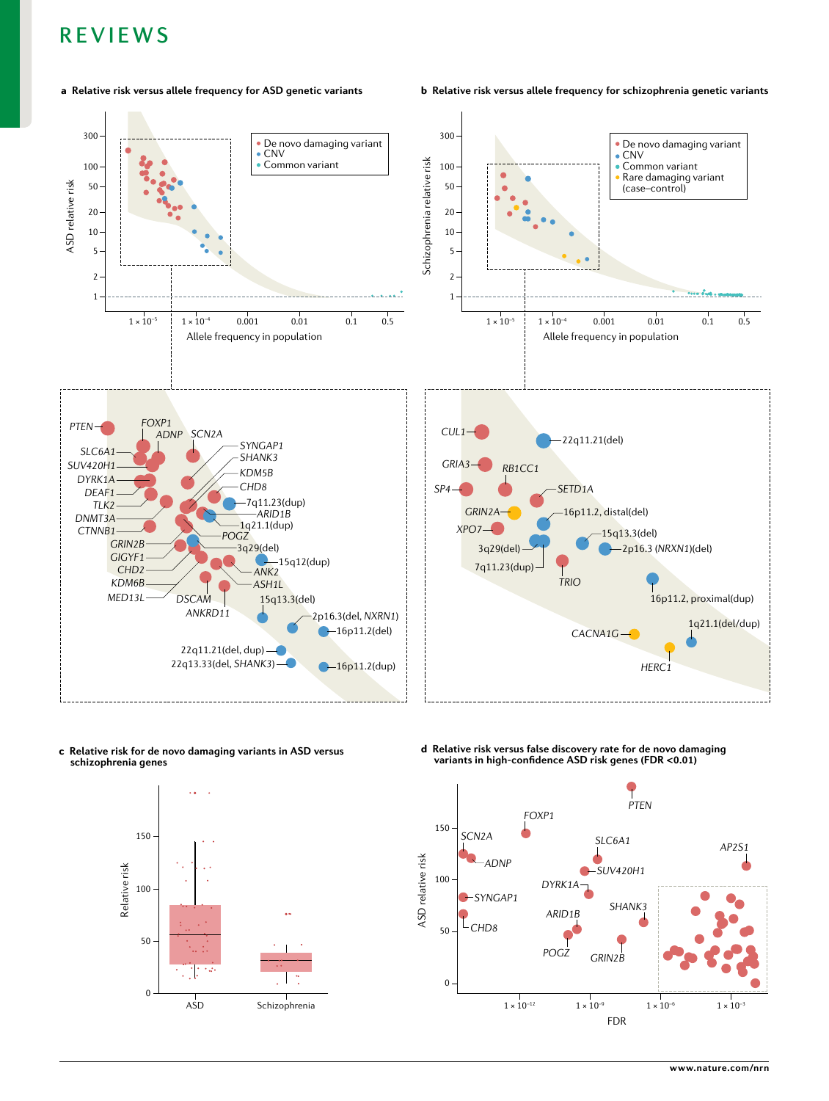#### a **Relative risk versus allele frequency for ASD genetic variants** b **Relative risk versus allele frequency for schizophrenia genetic variants**



c **Relative risk for de novo damaging variants in ASD versus schizophrenia genes**



d **Relative risk versus false discovery rate for de novo damaging variants in high-confidence ASD risk genes (FDR <0.01)**

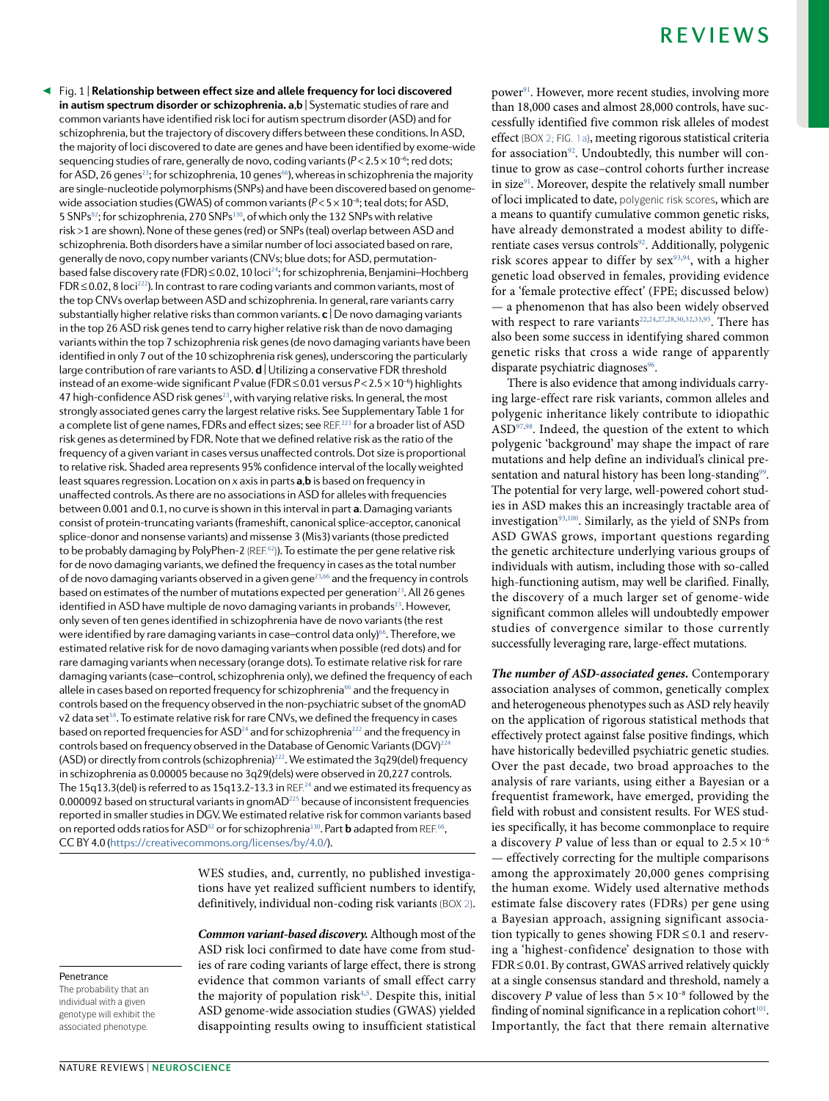<span id="page-4-0"></span>Fig. 1 | **Relationship between effect size and allele frequency for loci discovered**  ◀ **in autism spectrum disorder or schizophrenia. a**,**b** | Systematic studies of rare and common variants have identified risk loci for autism spectrum disorder (ASD) and for schizophrenia, but the trajectory of discovery differs between these conditions. In ASD, the majority of loci discovered to date are genes and have been identified by exome- wide sequencing studies of rare, generally de novo, coding variants ( $P < 2.5 \times 10^{-6}$ ; red dots; for ASD, 26 genes<sup>[23](#page-14-10)</sup>; for schizophrenia, 10 genes<sup>[66](#page-15-23)</sup>), whereas in schizophrenia the majority are single-nucleotide polymorphisms (SNPs) and have been discovered based on genomewide association studies (GWAS) of common variants ( $P < 5 \times 10^{-8}$ ; teal dots; for ASD, 5 SNPs[92](#page-16-5); for schizophrenia, 270 SNPs[130](#page-16-16), of which only the 132 SNPs with relative risk >1 are shown). None of these genes (red) or SNPs (teal) overlap between ASD and schizophrenia. Both disorders have a similar number of loci associated based on rare, generally de novo, copy number variants (CNVs; blue dots; for ASD, permutation-based false discovery rate (FDR) ≤ 0.02, 10 loci<sup>[24](#page-14-9)</sup>; for schizophrenia, Benjamini-Hochberg  $FDR \leq 0.02$ , 8 loci<sup>[222](#page-18-4)</sup>). In contrast to rare coding variants and common variants, most of the top CNVs overlap between ASD and schizophrenia. In general, rare variants carry substantially higher relative risks than common variants. **c** | De novo damaging variants in the top 26 ASD risk genes tend to carry higher relative risk than de novo damaging variants within the top 7 schizophrenia risk genes (de novo damaging variants have been identified in only 7 out of the 10 schizophrenia risk genes), underscoring the particularly large contribution of rare variants to ASD. **d** Utilizing a conservative FDR threshold instead of an exome- wide significant *P* value (FDR ≤ 0.01 versus *P*< 2.5 × 10–6) highlights 47 high-confidence ASD risk genes<sup>[23](#page-14-10)</sup>, with varying relative risks. In general, the most strongly associated genes carry the largest relative risks. See Supplementary Table 1 for a complete list of gene names, FDRs and effect sizes; see REF.<sup>[223](#page-18-5)</sup> for a broader list of ASD risk genes as determined by FDR. Note that we defined relative risk as the ratio of the frequency of a given variant in cases versus unaffected controls. Dot size is proportional to relative risk. Shaded area represents 95% confidence interval of the locally weighted least squares regression. Location on *x* axis in parts **a**,**b** is based on frequency in unaffected controls. As there are no associations in ASD for alleles with frequencies between 0.001 and 0.1, no curve is shown in this interval in part **a**. Damaging variants consist of protein- truncating variants (frameshift, canonical splice- acceptor, canonical splice- donor and nonsense variants) and missense 3 (Mis3) variants (those predicted to be probably damaging by PolyPhen-2 (REF. $62$ )). To estimate the per gene relative risk for de novo damaging variants, we defined the frequency in cases as the total number of de novo damaging variants observed in a given gene $^{23,66}$  $^{23,66}$  $^{23,66}$  $^{23,66}$  and the frequency in controls based on estimates of the number of mutations expected per generation<sup>[23](#page-14-10)</sup>. All 26 genes identified in ASD have multiple de novo damaging variants in probands<sup>[23](#page-14-10)</sup>. However, only seven of ten genes identified in schizophrenia have de novo variants (the rest were identified by rare damaging variants in case-control data only)<sup>[66](#page-15-23)</sup>. Therefore, we estimated relative risk for de novo damaging variants when possible (red dots) and for rare damaging variants when necessary (orange dots). To estimate relative risk for rare damaging variants (case–control, schizophrenia only), we defined the frequency of each allele in cases based on reported frequency for schizophrenia<sup>[66](#page-15-23)</sup> and the frequency in controls based on the frequency observed in the non- psychiatric subset of the gnomAD v2 data set<sup>[58](#page-15-17)</sup>. To estimate relative risk for rare CNVs, we defined the frequency in cases based on reported frequencies for ASD<sup>[24](#page-14-9)</sup> and for schizophrenia<sup>[222](#page-18-4)</sup> and the frequency in controls based on frequency observed in the Database of Genomic Variants (DGV)<sup>[224](#page-18-6)</sup> (ASD) or directly from controls (schizophrenia)[222](#page-18-4). We estimated the 3q29(del) frequency in schizophrenia as 0.00005 because no 3q29(dels) were observed in 20,227 controls. The 15q13.3(del) is referred to as 15q13.2-13.3 in REF.<sup>[24](#page-14-9)</sup> and we estimated its frequency as 0.000092 based on structural variants in gnomAD<sup>[225](#page-18-7)</sup> because of inconsistent frequencies reported in smaller studies in DGV. We estimated relative risk for common variants based on reported odds ratios for ASD<sup>[92](#page-16-5)</sup> or for schizophrenia<sup>[130](#page-16-16)</sup>. Part **b** adapted from REF.<sup>[66](#page-15-23)</sup>, CC BY 4.0 [\(https://creativecommons.org/licenses/by/4.0/](https://creativecommons.org/licenses/by/4.0/)).

> WES studies, and, currently, no published investigations have yet realized sufficient numbers to identify, definitively, individual non-coding risk variants (BOX [2\)](#page-2-0).

Common variant-based discovery. Although most of the ASD risk loci confirmed to date have come from studies of rare coding variants of large effect, there is strong evidence that common variants of small effect carry the majority of population risk[4,](#page-14-13)[5](#page-14-14) . Despite this, initial ASD genome- wide association studies (GWAS) yielded disappointing results owing to insufficient statistical

#### NATURE REVIEWS **| NEUROSCIENCE**

**Penetrance** The probability that an individual with a given genotype will exhibit the associated phenotype.

power<sup>[91](#page-16-6)</sup>. However, more recent studies, involving more than 18,000 cases and almost 28,000 controls, have successfully identified five common risk alleles of modest effect (BOx [2](#page-2-0); FiG. [1a\)](#page-4-0), meeting rigorous statistical criteria for association<sup>[92](#page-16-5)</sup>. Undoubtedly, this number will continue to grow as case–control cohorts further increase in size[91](#page-16-6). Moreover, despite the relatively small number of loci implicated to date, polygenic risk scores, which are a means to quantify cumulative common genetic risks, have already demonstrated a modest ability to diffe-rentiate cases versus controls<sup>[92](#page-16-5)</sup>. Additionally, polygenic risk scores appear to differ by  $sex^{93,94}$  $sex^{93,94}$  $sex^{93,94}$  $sex^{93,94}$  $sex^{93,94}$ , with a higher genetic load observed in females, providing evidence for a 'female protective effect' (FPE; discussed below) — a phenomenon that has also been widely observed with respect to rare variants<sup>[22](#page-14-8)[,24,](#page-14-9)[27](#page-14-15)[,28,](#page-14-12)[30](#page-14-6)[,32,](#page-14-11)[33](#page-15-11),[95](#page-16-9)</sup>. There has also been some success in identifying shared common genetic risks that cross a wide range of apparently disparate psychiatric diagnoses<sup>[96](#page-16-10)</sup>.

There is also evidence that among individuals carrying large- effect rare risk variants, common alleles and polygenic inheritance likely contribute to idiopathic  $ASD<sup>97,98</sup>$  $ASD<sup>97,98</sup>$  $ASD<sup>97,98</sup>$  $ASD<sup>97,98</sup>$  $ASD<sup>97,98</sup>$ . Indeed, the question of the extent to which polygenic 'background' may shape the impact of rare mutations and help define an individual's clinical pre-sentation and natural history has been long-standing<sup>[99](#page-16-13)</sup>. The potential for very large, well- powered cohort studies in ASD makes this an increasingly tractable area of investigation $93,100$  $93,100$ . Similarly, as the yield of SNPs from ASD GWAS grows, important questions regarding the genetic architecture underlying various groups of individuals with autism, including those with so-called high- functioning autism, may well be clarified. Finally, the discovery of a much larger set of genome- wide significant common alleles will undoubtedly empower studies of convergence similar to those currently successfully leveraging rare, large-effect mutations.

**The number of ASD- associated genes.** Contemporary association analyses of common, genetically complex and heterogeneous phenotypes such as ASD rely heavily on the application of rigorous statistical methods that effectively protect against false positive findings, which have historically bedevilled psychiatric genetic studies. Over the past decade, two broad approaches to the analysis of rare variants, using either a Bayesian or a frequentist framework, have emerged, providing the field with robust and consistent results. For WES studies specifically, it has become commonplace to require a discovery P value of less than or equal to  $2.5 \times 10^{-6}$ — effectively correcting for the multiple comparisons among the approximately 20,000 genes comprising the human exome. Widely used alternative methods estimate false discovery rates (FDRs) per gene using a Bayesian approach, assigning significant association typically to genes showing  $FDR \le 0.1$  and reserving a 'highest- confidence' designation to those with FDR ≤ 0.01. By contrast, GWAS arrived relatively quickly at a single consensus standard and threshold, namely a discovery P value of less than  $5 \times 10^{-8}$  followed by the finding of nominal significance in a replication cohort $101$ . Importantly, the fact that there remain alternative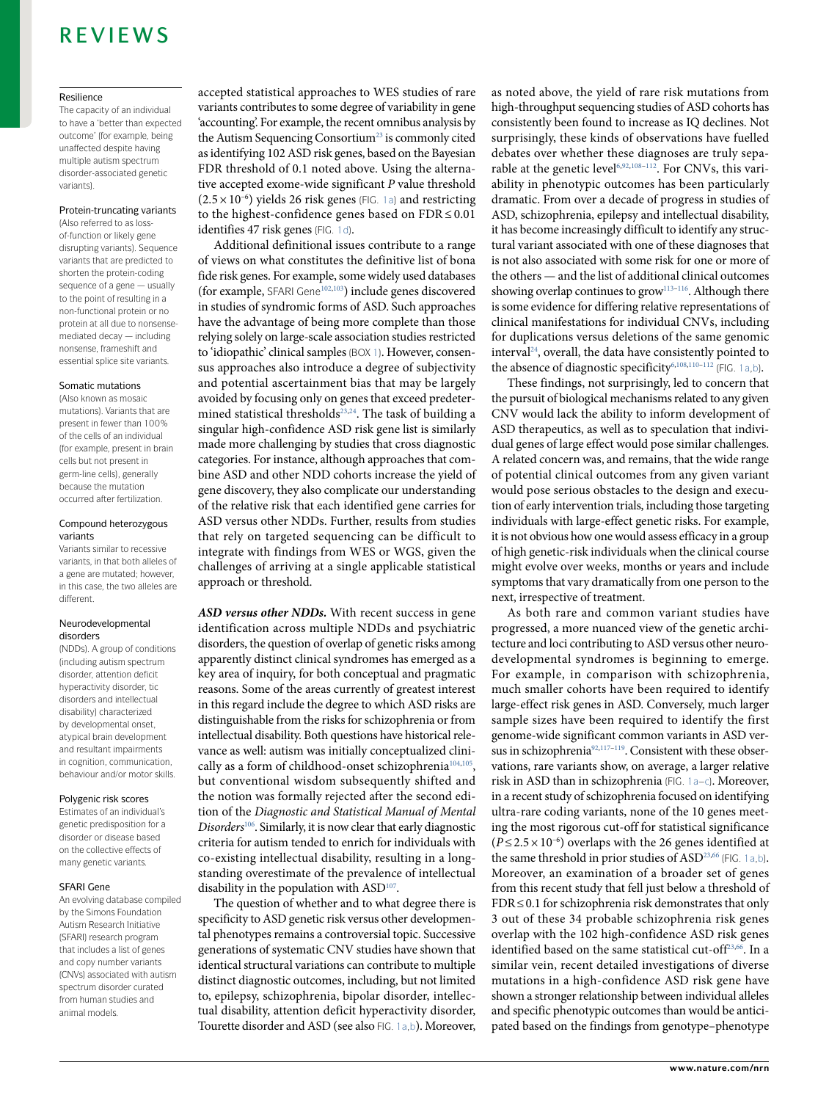#### Resilience

The capacity of an individual to have a 'better than expected outcome' (for example, being unaffected despite having multiple autism spectrum disorder-associated genetic variants).

#### Protein-truncating variants

(Also referred to as lossof-function or likely gene disrupting variants). Sequence variants that are predicted to shorten the protein-coding sequence of a gene — usually to the point of resulting in a non- functional protein or no protein at all due to nonsensemediated decay — including nonsense, frameshift and essential splice site variants.

#### Somatic mutations

(Also known as mosaic mutations). Variants that are present in fewer than 100% of the cells of an individual (for example, present in brain cells but not present in germ-line cells), generally because the mutation occurred after fertilization.

#### Compound heterozygous variants

Variants similar to recessive variants, in that both alleles of a gene are mutated; however, in this case, the two alleles are different.

#### Neurodevelopmental disorders

(NDDs). A group of conditions (including autism spectrum disorder, attention deficit hyperactivity disorder, tic disorders and intellectual disability) characterized by developmental onset, atypical brain development and resultant impairments in cognition, communication, behaviour and/or motor skills.

#### Polygenic risk scores

Estimates of an individual's genetic predisposition for a disorder or disease based on the collective effects of many genetic variants.

#### SFARI Gene

An evolving database compiled by the Simons Foundation Autism Research Initiative (SFARI) research program that includes a list of genes and copy number variants (CNVs) associated with autism spectrum disorder curated from human studies and animal models.

accepted statistical approaches to WES studies of rare variants contributes to some degree of variability in gene 'accounting'. For example, the recent omnibus analysis by the Autism Sequencing Consortium<sup>[23](#page-14-10)</sup> is commonly cited as identifying 102 ASD risk genes, based on the Bayesian FDR threshold of 0.1 noted above. Using the alternative accepted exome-wide significant P value threshold  $(2.5 \times 10^{-6})$  yields 26 risk genes (FIG. [1a](#page-4-0)) and restricting to the highest-confidence genes based on  $FDR \le 0.01$ identifies 47 risk genes (FiG. [1d\)](#page-4-0).

Additional definitional issues contribute to a range of views on what constitutes the definitive list of bona fide risk genes. For example, some widely used databases (for example, SFAri Gene[102](#page-16-17)[,103](#page-16-18)) include genes discovered in studies of syndromic forms of ASD. Such approaches have the advantage of being more complete than those relying solely on large- scale association studies restricted to 'idiopathic' clinical samples (BOX [1](#page-1-0)). However, consensus approaches also introduce a degree of subjectivity and potential ascertainment bias that may be largely avoided by focusing only on genes that exceed predeter-mined statistical thresholds<sup>[23,](#page-14-10)[24](#page-14-9)</sup>. The task of building a singular high- confidence ASD risk gene list is similarly made more challenging by studies that cross diagnostic categories. For instance, although approaches that combine ASD and other NDD cohorts increase the yield of gene discovery, they also complicate our understanding of the relative risk that each identified gene carries for ASD versus other NDDs. Further, results from studies that rely on targeted sequencing can be difficult to integrate with findings from WES or WGS, given the challenges of arriving at a single applicable statistical approach or threshold.

**ASD versus other NDDs.** With recent success in gene identification across multiple NDDs and psychiatric disorders, the question of overlap of genetic risks among apparently distinct clinical syndromes has emerged as a key area of inquiry, for both conceptual and pragmatic reasons. Some of the areas currently of greatest interest in this regard include the degree to which ASD risks are distinguishable from the risks for schizophrenia or from intellectual disability. Both questions have historical relevance as well: autism was initially conceptualized clini-cally as a form of childhood-onset schizophrenia<sup>[104,](#page-16-19)[105](#page-16-20)</sup>, but conventional wisdom subsequently shifted and the notion was formally rejected after the second edition of the Diagnostic and Statistical Manual of Mental Disorders<sup>[106](#page-16-21)</sup>. Similarly, it is now clear that early diagnostic criteria for autism tended to enrich for individuals with co- existing intellectual disability, resulting in a longstanding overestimate of the prevalence of intellectual disability in the population with ASD<sup>[107](#page-16-22)</sup>.

The question of whether and to what degree there is specificity to ASD genetic risk versus other developmental phenotypes remains a controversial topic. Successive generations of systematic CNV studies have shown that identical structural variations can contribute to multiple distinct diagnostic outcomes, including, but not limited to, epilepsy, schizophrenia, bipolar disorder, intellectual disability, attention deficit hyperactivity disorder, Tourette disorder and ASD (see also FiG. [1a,b](#page-4-0)). Moreover, as noted above, the yield of rare risk mutations from high- throughput sequencing studies of ASD cohorts has consistently been found to increase as IQ declines. Not surprisingly, these kinds of observations have fuelled debates over whether these diagnoses are truly sepa-rable at the genetic level<sup>[6,](#page-14-16)[92](#page-16-5)[,108](#page-16-23)[–112](#page-16-24)</sup>. For CNVs, this variability in phenotypic outcomes has been particularly dramatic. From over a decade of progress in studies of ASD, schizophrenia, epilepsy and intellectual disability, it has become increasingly difficult to identify any structural variant associated with one of these diagnoses that is not also associated with some risk for one or more of the others — and the list of additional clinical outcomes showing overlap continues to grow $^{113-116}$  $^{113-116}$  $^{113-116}$ . Although there is some evidence for differing relative representations of clinical manifestations for individual CNVs, including for duplications versus deletions of the same genomic interval<sup>[24](#page-14-9)</sup>, overall, the data have consistently pointed to the absence of diagnostic specificity<sup>[6,](#page-14-16)[108,](#page-16-23)[110](#page-16-27)[–112](#page-16-24)</sup> (FIG. [1a,b](#page-4-0)).

These findings, not surprisingly, led to concern that the pursuit of biological mechanisms related to any given CNV would lack the ability to inform development of ASD therapeutics, as well as to speculation that individual genes of large effect would pose similar challenges. A related concern was, and remains, that the wide range of potential clinical outcomes from any given variant would pose serious obstacles to the design and execution of early intervention trials, including those targeting individuals with large-effect genetic risks. For example, it is not obvious how one would assess efficacy in a group of high genetic- risk individuals when the clinical course might evolve over weeks, months or years and include symptoms that vary dramatically from one person to the next, irrespective of treatment.

As both rare and common variant studies have progressed, a more nuanced view of the genetic architecture and loci contributing to ASD versus other neurodevelopmental syndromes is beginning to emerge. For example, in comparison with schizophrenia, much smaller cohorts have been required to identify large- effect risk genes in ASD. Conversely, much larger sample sizes have been required to identify the first genome- wide significant common variants in ASD ver-sus in schizophrenia<sup>[92](#page-16-5)[,117](#page-16-28)-119</sup>. Consistent with these observations, rare variants show, on average, a larger relative risk in ASD than in schizophrenia (FiG. [1a–c\)](#page-4-0). Moreover, in a recent study of schizophrenia focused on identifying ultra-rare coding variants, none of the 10 genes meeting the most rigorous cut- off for statistical significance ( $P \le 2.5 \times 10^{-6}$ ) overlaps with the 26 genes identified at the same threshold in prior studies of ASD<sup>[23,](#page-14-10)[66](#page-15-23)</sup> (FIG. [1a,b\)](#page-4-0). Moreover, an examination of a broader set of genes from this recent study that fell just below a threshold of FDR ≤ 0.1 for schizophrenia risk demonstrates that only 3 out of these 34 probable schizophrenia risk genes overlap with the 102 high- confidence ASD risk genes identified based on the same statistical cut-off<sup>[23,](#page-14-10)[66](#page-15-23)</sup>. In a similar vein, recent detailed investigations of diverse mutations in a high- confidence ASD risk gene have shown a stronger relationship between individual alleles and specific phenotypic outcomes than would be anticipated based on the findings from genotype–phenotype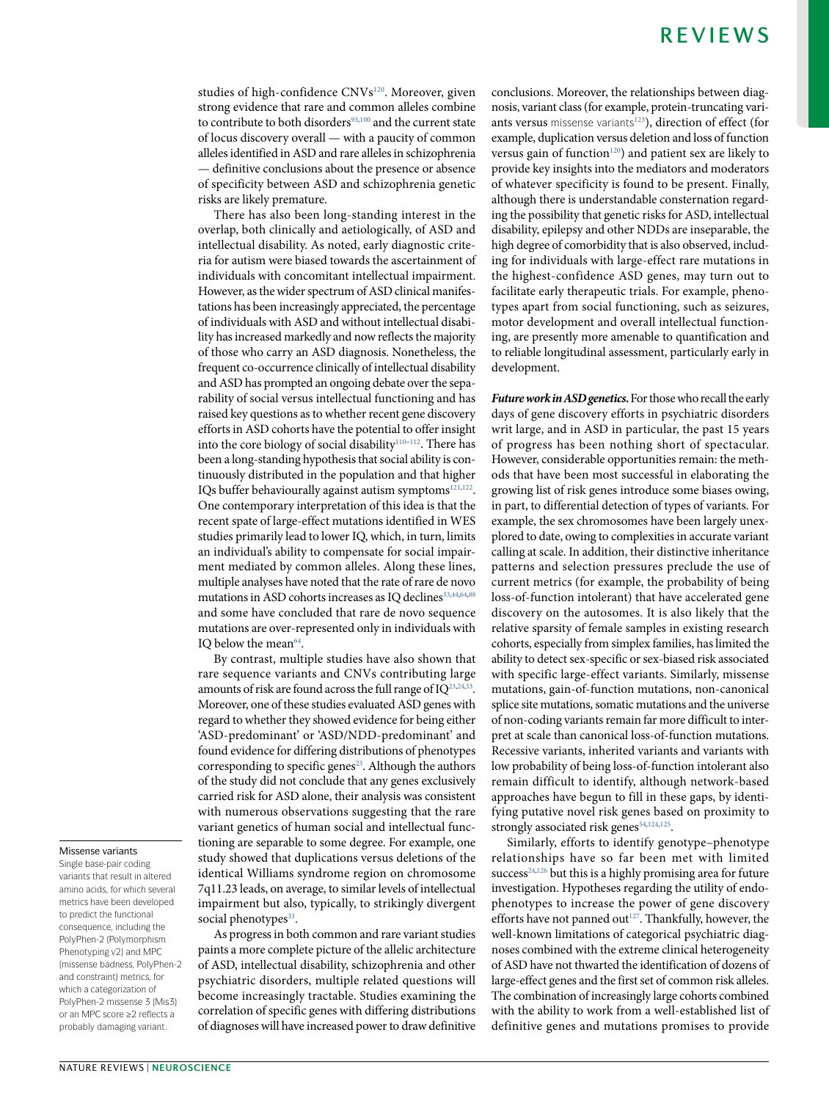studies of high-confidence CNVs<sup>[120](#page-16-30)</sup>. Moreover, given strong evidence that rare and common alleles combine to contribute to both disorders $93,100$  $93,100$  $93,100$  and the current state of locus discovery overall — with a paucity of common alleles identified in ASD and rare alleles in schizophrenia — definitive conclusions about the presence or absence of specificity between ASD and schizophrenia genetic risks are likely premature.

There has also been long- standing interest in the overlap, both clinically and aetiologically, of ASD and intellectual disability. As noted, early diagnostic criteria for autism were biased towards the ascertainment of individuals with concomitant intellectual impairment. However, as the wider spectrum of ASD clinical manifestations has been increasingly appreciated, the percentage of individuals with ASD and without intellectual disability has increased markedly and now reflects the majority of those who carry an ASD diagnosis. Nonetheless, the frequent co-occurrence clinically of intellectual disability and ASD has prompted an ongoing debate over the separability of social versus intellectual functioning and has raised key questions as to whether recent gene discovery efforts in ASD cohorts have the potential to offer insight into the core biology of social disability<sup>[110–](#page-16-27)[112](#page-16-24)</sup>. There has been a long- standing hypothesis that social ability is continuously distributed in the population and that higher IQs buffer behaviourally against autism symptoms<sup>[121](#page-16-31)[,122](#page-16-32)</sup>. One contemporary interpretation of this idea is that the recent spate of large- effect mutations identified in WES studies primarily lead to lower IQ, which, in turn, limits an individual's ability to compensate for social impairment mediated by common alleles. Along these lines, multiple analyses have noted that the rate of rare de novo mutations in ASD cohorts increases as IQ declines<sup>[33](#page-15-11)[,44](#page-15-5),[64,](#page-15-32)[88](#page-16-33)</sup> and some have concluded that rare de novo sequence mutations are over- represented only in individuals with IQ below the mean<sup>[64](#page-15-32)</sup>.

By contrast, multiple studies have also shown that rare sequence variants and CNVs contributing large amounts of risk are found across the full range of IQ<sup>[23,](#page-14-10)[24,](#page-14-9)[33](#page-15-11)</sup>. Moreover, one of these studies evaluated ASD genes with regard to whether they showed evidence for being either 'ASD- predominant' or 'ASD/NDD- predominant' and found evidence for differing distributions of phenotypes corresponding to specific genes<sup>[23](#page-14-10)</sup>. Although the authors of the study did not conclude that any genes exclusively carried risk for ASD alone, their analysis was consistent with numerous observations suggesting that the rare variant genetics of human social and intellectual functioning are separable to some degree. For example, one study showed that duplications versus deletions of the identical Williams syndrome region on chromosome 7q11.23 leads, on average, to similar levels of intellectual impairment but also, typically, to strikingly divergent social phenotypes<sup>[33](#page-15-11)</sup>.

As progress in both common and rare variant studies paints a more complete picture of the allelic architecture of ASD, intellectual disability, schizophrenia and other psychiatric disorders, multiple related questions will become increasingly tractable. Studies examining the correlation of specific genes with differing distributions of diagnoses will have increased power to draw definitive

conclusions. Moreover, the relationships between diagnosis, variant class (for example, protein- truncating vari-ants versus missense variants<sup>[123](#page-16-34)</sup>), direction of effect (for example, duplication versus deletion and loss of function versus gain of function<sup>[120](#page-16-30)</sup>) and patient sex are likely to provide key insights into the mediators and moderators of whatever specificity is found to be present. Finally, although there is understandable consternation regarding the possibility that genetic risks for ASD, intellectual disability, epilepsy and other NDDs are inseparable, the high degree of comorbidity that is also observed, including for individuals with large- effect rare mutations in the highest- confidence ASD genes, may turn out to facilitate early therapeutic trials. For example, phenotypes apart from social functioning, such as seizures, motor development and overall intellectual functioning, are presently more amenable to quantification and to reliable longitudinal assessment, particularly early in development.

**Future work in ASD genetics.** For those who recall the early days of gene discovery efforts in psychiatric disorders writ large, and in ASD in particular, the past 15 years of progress has been nothing short of spectacular. However, considerable opportunities remain: the methods that have been most successful in elaborating the growing list of risk genes introduce some biases owing, in part, to differential detection of types of variants. For example, the sex chromosomes have been largely unexplored to date, owing to complexities in accurate variant calling at scale. In addition, their distinctive inheritance patterns and selection pressures preclude the use of current metrics (for example, the probability of being loss- of- function intolerant) that have accelerated gene discovery on the autosomes. It is also likely that the relative sparsity of female samples in existing research cohorts, especially from simplex families, has limited the ability to detect sex- specific or sex- biased risk associated with specific large- effect variants. Similarly, missense mutations, gain-of-function mutations, non-canonical splice site mutations, somatic mutations and the universe of non- coding variants remain far more difficult to interpret at scale than canonical loss-of-function mutations. Recessive variants, inherited variants and variants with low probability of being loss-of-function intolerant also remain difficult to identify, although network- based approaches have begun to fill in these gaps, by identifying putative novel risk genes based on proximity to strongly associated risk genes<sup>[54](#page-15-33),[124](#page-16-35)[,125](#page-16-36)</sup>.

Similarly, efforts to identify genotype–phenotype relationships have so far been met with limited  $\text{success}^{24,126}$  $\text{success}^{24,126}$  $\text{success}^{24,126}$  $\text{success}^{24,126}$  but this is a highly promising area for future investigation. Hypotheses regarding the utility of endophenotypes to increase the power of gene discovery efforts have not panned out $^{127}$  $^{127}$  $^{127}$ . Thankfully, however, the well- known limitations of categorical psychiatric diagnoses combined with the extreme clinical heterogeneity of ASD have not thwarted the identification of dozens of large- effect genes and the first set of common risk alleles. The combination of increasingly large cohorts combined with the ability to work from a well-established list of definitive genes and mutations promises to provide

#### Missense variants

Single base-pair coding variants that result in altered amino acids, for which several metrics have been developed to predict the functional consequence, including the PolyPhen-2 (Polymorphism Phenotyping v2) and MPC (missense badness, PolyPhen-2 and constraint) metrics, for which a categorization of PolyPhen-2 missense 3 (Mis3) or an MPC score ≥2 reflects a probably damaging variant.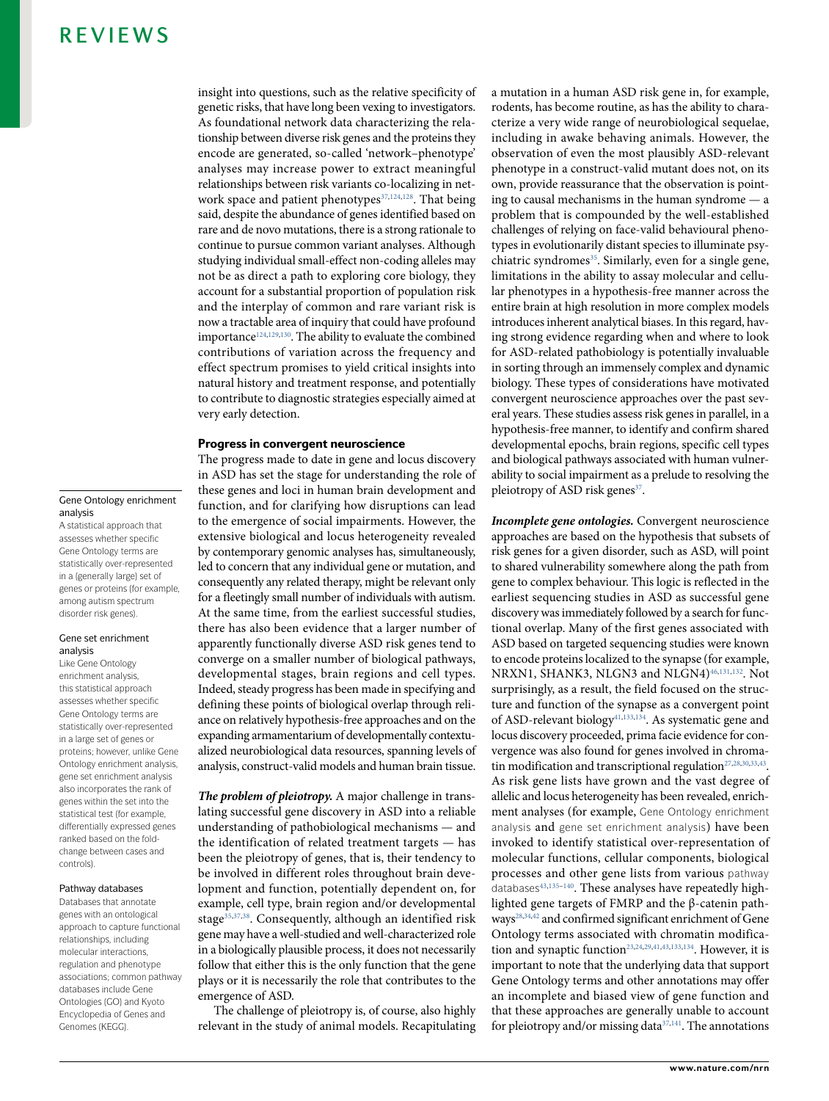#### Gene Ontology enrichment analysis

A statistical approach that assesses whether specific Gene Ontology terms are statistically over-represented in a (generally large) set of genes or proteins (for example, among autism spectrum disorder risk genes).

#### Gene set enrichment analysis

Like Gene Ontology enrichment analysis, this statistical approach assesses whether specific Gene Ontology terms are statistically over-represented in a large set of genes or proteins; however, unlike Gene Ontology enrichment analysis, gene set enrichment analysis also incorporates the rank of genes within the set into the statistical test (for example, differentially expressed genes ranked based on the foldchange between cases and controls).

#### Pathway databases

Databases that annotate genes with an ontological approach to capture functional relationships, including molecular interactions, regulation and phenotype associations; common pathway databases include Gene Ontologies (GO) and Kyoto Encyclopedia of Genes and Genomes (KEGG).

insight into questions, such as the relative specificity of genetic risks, that have long been vexing to investigators. As foundational network data characterizing the relationship between diverse risk genes and the proteins they encode are generated, so- called 'network–phenotype' analyses may increase power to extract meaningful relationships between risk variants co- localizing in net-work space and patient phenotypes<sup>[37](#page-15-6)[,124](#page-16-35)[,128](#page-16-39)</sup>. That being said, despite the abundance of genes identified based on rare and de novo mutations, there is a strong rationale to continue to pursue common variant analyses. Although studying individual small-effect non-coding alleles may not be as direct a path to exploring core biology, they account for a substantial proportion of population risk and the interplay of common and rare variant risk is now a tractable area of inquiry that could have profound importance<sup>[124,](#page-16-35)[129](#page-16-40)[,130](#page-16-16)</sup>. The ability to evaluate the combined contributions of variation across the frequency and effect spectrum promises to yield critical insights into natural history and treatment response, and potentially to contribute to diagnostic strategies especially aimed at very early detection.

#### Progress in convergent neuroscience

The progress made to date in gene and locus discovery in ASD has set the stage for understanding the role of these genes and loci in human brain development and function, and for clarifying how disruptions can lead to the emergence of social impairments. However, the extensive biological and locus heterogeneity revealed by contemporary genomic analyses has, simultaneously, led to concern that any individual gene or mutation, and consequently any related therapy, might be relevant only for a fleetingly small number of individuals with autism. At the same time, from the earliest successful studies, there has also been evidence that a larger number of apparently functionally diverse ASD risk genes tend to converge on a smaller number of biological pathways, developmental stages, brain regions and cell types. Indeed, steady progress has been made in specifying and defining these points of biological overlap through reliance on relatively hypothesis- free approaches and on the expanding armamentarium of developmentally contextualized neurobiological data resources, spanning levels of analysis, construct- valid models and human brain tissue.

**The problem of pleiotropy.** A major challenge in translating successful gene discovery in ASD into a reliable understanding of pathobiological mechanisms — and the identification of related treatment targets — has been the pleiotropy of genes, that is, their tendency to be involved in different roles throughout brain development and function, potentially dependent on, for example, cell type, brain region and/or developmental stage<sup>[35](#page-15-1),[37](#page-15-6)[,38](#page-15-34)</sup>. Consequently, although an identified risk gene may have a well- studied and well- characterized role in a biologically plausible process, it does not necessarily follow that either this is the only function that the gene plays or it is necessarily the role that contributes to the emergence of ASD.

The challenge of pleiotropy is, of course, also highly relevant in the study of animal models. Recapitulating a mutation in a human ASD risk gene in, for example, rodents, has become routine, as has the ability to characterize a very wide range of neurobiological sequelae, including in awake behaving animals. However, the observation of even the most plausibly ASD- relevant phenotype in a construct- valid mutant does not, on its own, provide reassurance that the observation is pointing to causal mechanisms in the human syndrome — a problem that is compounded by the well- established challenges of relying on face- valid behavioural phenotypes in evolutionarily distant species to illuminate psy-chiatric syndromes<sup>[35](#page-15-1)</sup>. Similarly, even for a single gene, limitations in the ability to assay molecular and cellular phenotypes in a hypothesis- free manner across the entire brain at high resolution in more complex models introduces inherent analytical biases. In this regard, having strong evidence regarding when and where to look for ASD- related pathobiology is potentially invaluable in sorting through an immensely complex and dynamic biology. These types of considerations have motivated convergent neuroscience approaches over the past several years. These studies assess risk genes in parallel, in a hypothesis- free manner, to identify and confirm shared developmental epochs, brain regions, specific cell types and biological pathways associated with human vulnerability to social impairment as a prelude to resolving the pleiotropy of ASD risk genes<sup>[37](#page-15-6)</sup>.

**Incomplete gene ontologies.** Convergent neuroscience approaches are based on the hypothesis that subsets of risk genes for a given disorder, such as ASD, will point to shared vulnerability somewhere along the path from gene to complex behaviour. This logic is reflected in the earliest sequencing studies in ASD as successful gene discovery was immediately followed by a search for functional overlap. Many of the first genes associated with ASD based on targeted sequencing studies were known to encode proteins localized to the synapse (for example, NRXN1, SHANK3, NLGN3 and NLGN4)<sup>[46,](#page-15-9)[131,](#page-16-41)[132](#page-16-42)</sup>. Not surprisingly, as a result, the field focused on the structure and function of the synapse as a convergent point of ASD-relevant biology<sup>[41](#page-15-3),[133](#page-16-43),[134](#page-16-44)</sup>. As systematic gene and locus discovery proceeded, prima facie evidence for convergence was also found for genes involved in chroma-tin modification and transcriptional regulation<sup>[27,](#page-14-15)[28](#page-14-12)[,30](#page-14-6)[,33](#page-15-11),[43](#page-15-35)</sup>. As risk gene lists have grown and the vast degree of allelic and locus heterogeneity has been revealed, enrichment analyses (for example, Gene Ontology enrichment analysis and gene set enrichment analysis) have been invoked to identify statistical over-representation of molecular functions, cellular components, biological processes and other gene lists from various pathway databases<sup>[43](#page-15-35),135-[140](#page-16-46)</sup>. These analyses have repeatedly highlighted gene targets of FMRP and the β- catenin path-ways<sup>[28](#page-14-12),[34,](#page-15-0)[42](#page-15-4)</sup> and confirmed significant enrichment of Gene Ontology terms associated with chromatin modifica-tion and synaptic function<sup>[23](#page-14-10),[24,](#page-14-9)[29](#page-14-5)[,41](#page-15-3),[43,](#page-15-35)[133,](#page-16-43)[134](#page-16-44)</sup>. However, it is important to note that the underlying data that support Gene Ontology terms and other annotations may offer an incomplete and biased view of gene function and that these approaches are generally unable to account for pleiotropy and/or missing data<sup>[37](#page-15-6)[,141](#page-16-47)</sup>. The annotations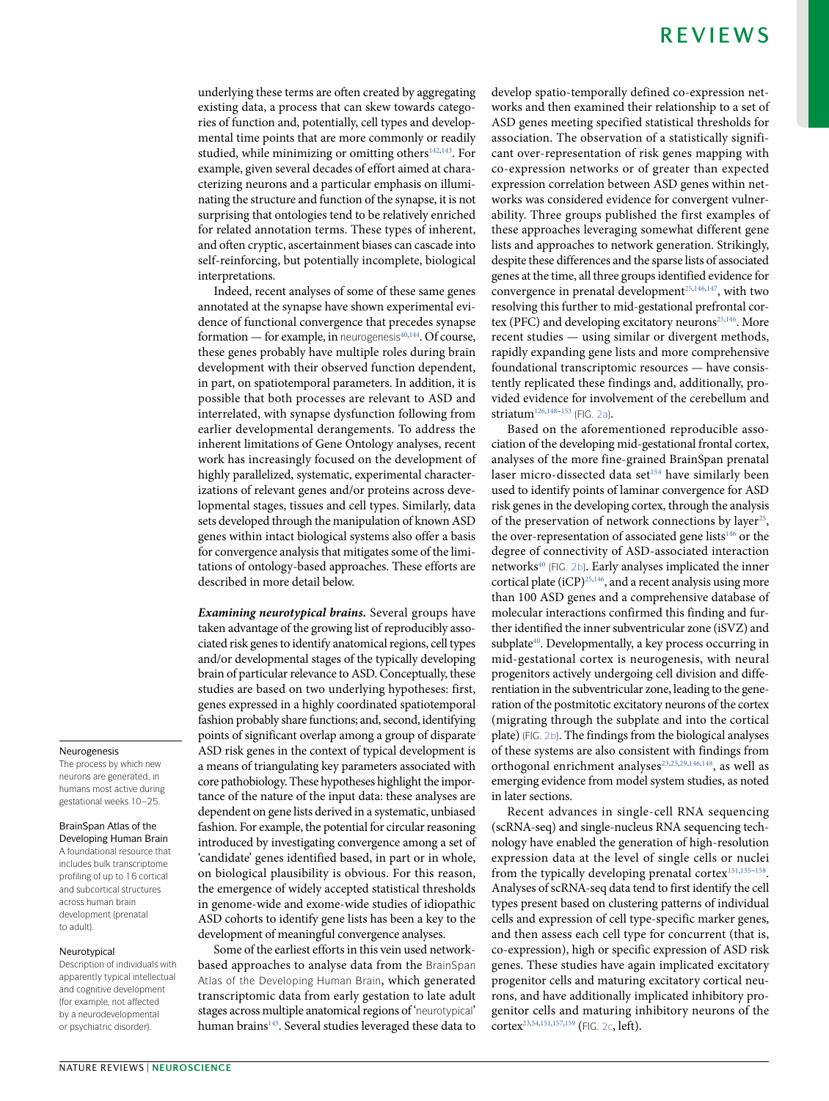underlying these terms are often created by aggregating existing data, a process that can skew towards categories of function and, potentially, cell types and developmental time points that are more commonly or readily studied, while minimizing or omitting others<sup>[142](#page-16-48)[,143](#page-16-49)</sup>. For example, given several decades of effort aimed at characterizing neurons and a particular emphasis on illuminating the structure and function of the synapse, it is not surprising that ontologies tend to be relatively enriched for related annotation terms. These types of inherent, and often cryptic, ascertainment biases can cascade into self- reinforcing, but potentially incomplete, biological interpretations.

Indeed, recent analyses of some of these same genes annotated at the synapse have shown experimental evidence of functional convergence that precedes synapse formation — for example, in neurogenesis $40,144$  $40,144$ . Of course, these genes probably have multiple roles during brain development with their observed function dependent, in part, on spatiotemporal parameters. In addition, it is possible that both processes are relevant to ASD and interrelated, with synapse dysfunction following from earlier developmental derangements. To address the inherent limitations of Gene Ontology analyses, recent work has increasingly focused on the development of highly parallelized, systematic, experimental characterizations of relevant genes and/or proteins across developmental stages, tissues and cell types. Similarly, data sets developed through the manipulation of known ASD genes within intact biological systems also offer a basis for convergence analysis that mitigates some of the limitations of ontology- based approaches. These efforts are described in more detail below.

**Examining neurotypical brains.** Several groups have taken advantage of the growing list of reproducibly associated risk genes to identify anatomical regions, cell types and/or developmental stages of the typically developing brain of particular relevance to ASD. Conceptually, these studies are based on two underlying hypotheses: first, genes expressed in a highly coordinated spatiotemporal fashion probably share functions; and, second, identifying points of significant overlap among a group of disparate ASD risk genes in the context of typical development is a means of triangulating key parameters associated with core pathobiology. These hypotheses highlight the importance of the nature of the input data: these analyses are dependent on gene lists derived in a systematic, unbiased fashion. For example, the potential for circular reasoning introduced by investigating convergence among a set of 'candidate' genes identified based, in part or in whole, on biological plausibility is obvious. For this reason, the emergence of widely accepted statistical thresholds in genome- wide and exome- wide studies of idiopathic ASD cohorts to identify gene lists has been a key to the development of meaningful convergence analyses.

Some of the earliest efforts in this vein used networkbased approaches to analyse data from the BrainSpan Atlas of the Developing Human Brain, which generated transcriptomic data from early gestation to late adult stages across multiple anatomical regions of 'neurotypical' human brains<sup>[145](#page-16-51)</sup>. Several studies leveraged these data to develop spatio-temporally defined co-expression networks and then examined their relationship to a set of ASD genes meeting specified statistical thresholds for association. The observation of a statistically significant over- representation of risk genes mapping with co- expression networks or of greater than expected expression correlation between ASD genes within networks was considered evidence for convergent vulnerability. Three groups published the first examples of these approaches leveraging somewhat different gene lists and approaches to network generation. Strikingly, despite these differences and the sparse lists of associated genes at the time, all three groups identified evidence for convergence in prenatal development<sup>[25](#page-14-17),[146,](#page-17-0)[147](#page-17-1)</sup>, with two resolving this further to mid- gestational prefrontal cor-tex (PFC) and developing excitatory neurons<sup>[25](#page-14-17)[,146](#page-17-0)</sup>. More recent studies — using similar or divergent methods, rapidly expanding gene lists and more comprehensive foundational transcriptomic resources — have consistently replicated these findings and, additionally, provided evidence for involvement of the cerebellum and striatum<sup>[126,](#page-16-37)[148](#page-17-2)[–153](#page-17-3)</sup> (FIG. [2a\)](#page-10-0).

Based on the aforementioned reproducible association of the developing mid- gestational frontal cortex, analyses of the more fine- grained BrainSpan prenatal laser micro-dissected data set<sup>[154](#page-17-4)</sup> have similarly been used to identify points of laminar convergence for ASD risk genes in the developing cortex, through the analysis of the preservation of network connections by layer<sup>[25](#page-14-17)</sup>, the over-representation of associated gene lists $146$  or the degree of connectivity of ASD-associated interaction networks<sup>[40](#page-15-2)</sup> (FIG. [2b](#page-10-0)). Early analyses implicated the inner cortical plate (iCP)<sup>[25,](#page-14-17)[146](#page-17-0)</sup>, and a recent analysis using more than 100 ASD genes and a comprehensive database of molecular interactions confirmed this finding and further identified the inner subventricular zone (iSVZ) and subplate<sup>[40](#page-15-2)</sup>. Developmentally, a key process occurring in mid- gestational cortex is neurogenesis, with neural progenitors actively undergoing cell division and differentiation in the subventricular zone, leading to the generation of the postmitotic excitatory neurons of the cortex (migrating through the subplate and into the cortical plate) (FiG. [2b\)](#page-10-0). The findings from the biological analyses of these systems are also consistent with findings from orthogonal enrichment analyses<sup>[23,](#page-14-10)[25](#page-14-17),[29](#page-14-5)[,146](#page-17-0)[,148](#page-17-2)</sup>, as well as emerging evidence from model system studies, as noted in later sections.

Recent advances in single- cell RNA sequencing (scRNA- seq) and single- nucleus RNA sequencing technology have enabled the generation of high- resolution expression data at the level of single cells or nuclei from the typically developing prenatal cortex<sup>[151,](#page-17-5)155-[158](#page-17-7)</sup>. Analyses of scRNA- seq data tend to first identify the cell types present based on clustering patterns of individual cells and expression of cell type- specific marker genes, and then assess each cell type for concurrent (that is, co- expression), high or specific expression of ASD risk genes. These studies have again implicated excitatory progenitor cells and maturing excitatory cortical neurons, and have additionally implicated inhibitory progenitor cells and maturing inhibitory neurons of the cortex<sup>[23,](#page-14-10)[54](#page-15-33)[,151](#page-17-5)[,157,](#page-17-8)[159](#page-17-9)</sup> (FIG. [2c](#page-10-0), left).

#### Neurogenesis

The process by which new neurons are generated, in humans most active during gestational weeks 10–25.

#### BrainSpan Atlas of the

Developing Human Brain A foundational resource that includes bulk transcriptome profiling of up to 16 cortical and subcortical structures across human brain development (prenatal to adult).

#### Neurotypical

Description of individuals with apparently typical intellectual and cognitive development (for example, not affected by a neurodevelopmental or psychiatric disorder).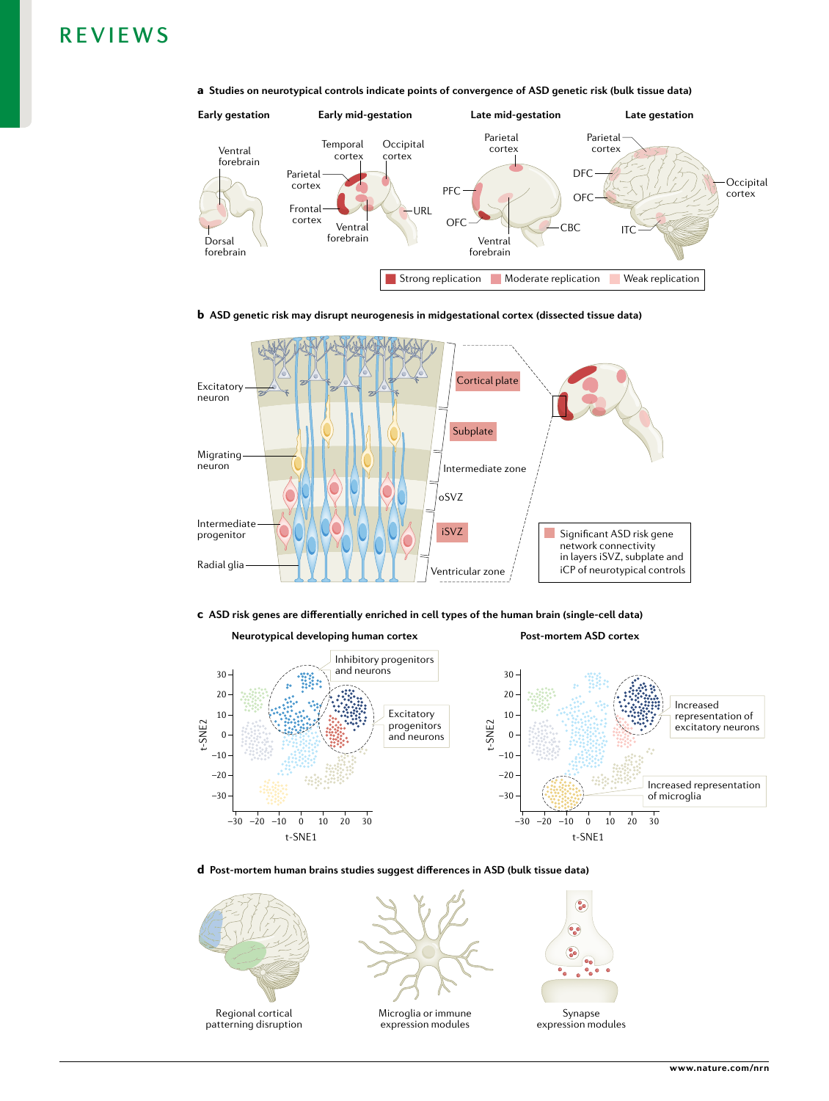







c **ASD risk genes are differentially enriched in cell types of the human brain (single-cell data)**



**Post-mortem ASD cortex**





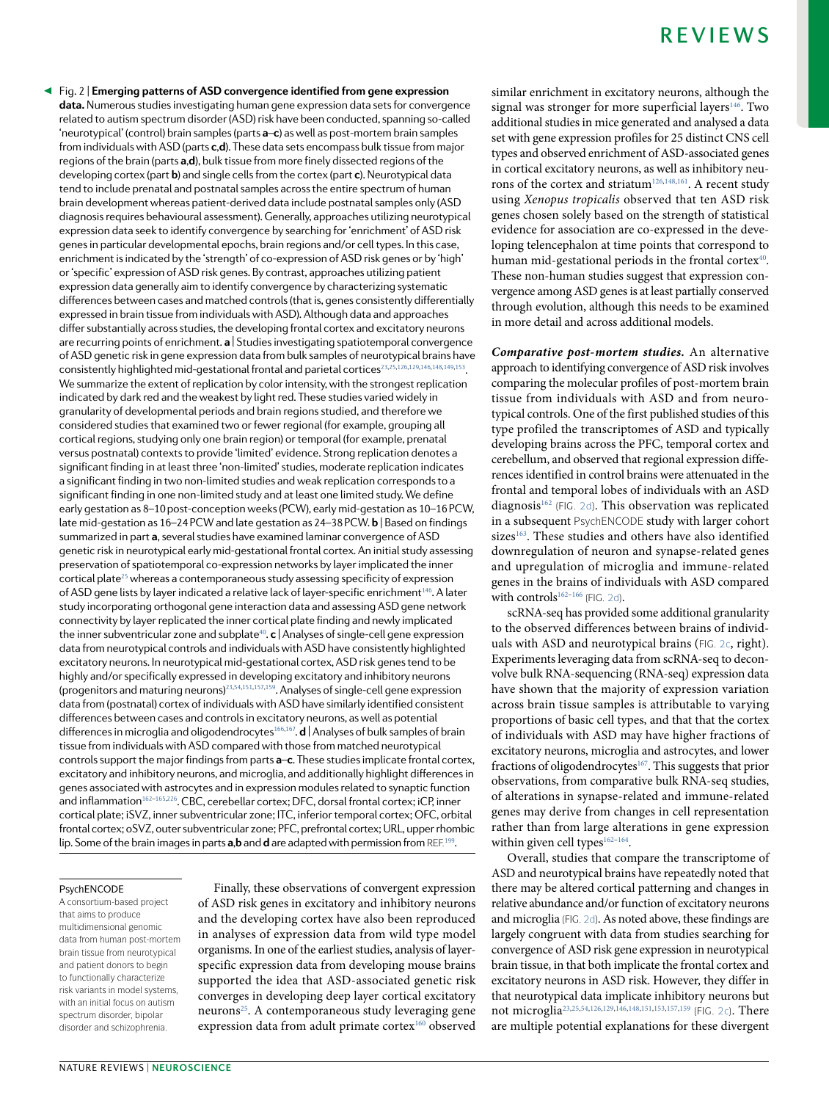<span id="page-10-0"></span>Fig. 2 | **Emerging patterns of ASD convergence identified from gene expression**  ◀ **data.** Numerous studies investigating human gene expression data sets for convergence related to autism spectrum disorder (ASD) risk have been conducted, spanning so-called 'neurotypical' (control) brain samples (parts **a**–**c**) as well as post- mortem brain samples from individuals with ASD (parts **c**,**d**). These data sets encompass bulk tissue from major regions of the brain (parts **a**,**d**), bulk tissue from more finely dissected regions of the developing cortex (part **b**) and single cells from the cortex (part **c**). Neurotypical data tend to include prenatal and postnatal samples across the entire spectrum of human brain development whereas patient- derived data include postnatal samples only (ASD diagnosis requires behavioural assessment). Generally, approaches utilizing neurotypical expression data seek to identify convergence by searching for 'enrichment' of ASD risk genes in particular developmental epochs, brain regions and/or cell types. In this case, enrichment is indicated by the 'strength' of co-expression of ASD risk genes or by 'high' or 'specific' expression of ASD risk genes. By contrast, approaches utilizing patient expression data generally aim to identify convergence by characterizing systematic differences between cases and matched controls (that is, genes consistently differentially expressed in brain tissue from individuals with ASD). Although data and approaches differ substantially across studies, the developing frontal cortex and excitatory neurons are recurring points of enrichment. **a** | Studies investigating spatiotemporal convergence of ASD genetic risk in gene expression data from bulk samples of neurotypical brains have consistently highlighted mid-gestational frontal and parietal cortices<sup>[23,](#page-14-10)[25](#page-14-17)[,126,](#page-16-37)[129](#page-16-40)[,146](#page-17-0)[,148,](#page-17-2)[149](#page-17-17)[,153](#page-17-3)</sup>. We summarize the extent of replication by color intensity, with the strongest replication indicated by dark red and the weakest by light red. These studies varied widely in granularity of developmental periods and brain regions studied, and therefore we considered studies that examined two or fewer regional (for example, grouping all cortical regions, studying only one brain region) or temporal (for example, prenatal versus postnatal) contexts to provide 'limited' evidence. Strong replication denotes a significant finding in at least three 'non- limited' studies, moderate replication indicates a significant finding in two non- limited studies and weak replication corresponds to a significant finding in one non- limited study and at least one limited study. We define early gestation as 8-10 post-conception weeks (PCW), early mid-gestation as 10-16 PCW, late mid-gestation as 16–24 PCW and late gestation as 24–38 PCW. **b** | Based on findings summarized in part **a**, several studies have examined laminar convergence of ASD genetic risk in neurotypical early mid- gestational frontal cortex. An initial study assessing preservation of spatiotemporal co-expression networks by layer implicated the inner cortical plate<sup>[25](#page-14-17)</sup> whereas a contemporaneous study assessing specificity of expression of ASD gene lists by layer indicated a relative lack of layer-specific enrichment<sup>[146](#page-17-0)</sup>. A later study incorporating orthogonal gene interaction data and assessing ASD gene network connectivity by layer replicated the inner cortical plate finding and newly implicated the inner subventricular zone and subplate<sup>[40](#page-15-2)</sup>. **c** | Analyses of single-cell gene expression data from neurotypical controls and individuals with ASD have consistently highlighted excitatory neurons. In neurotypical mid- gestational cortex, ASD risk genes tend to be highly and/or specifically expressed in developing excitatory and inhibitory neurons (progenitors and maturing neurons)<sup>[23](#page-14-10)[,54](#page-15-33)[,151](#page-17-5)[,157,](#page-17-8)[159](#page-17-9)</sup>. Analyses of single-cell gene expression data from (postnatal) cortex of individuals with ASD have similarly identified consistent differences between cases and controls in excitatory neurons, as well as potential differences in microglia and oligodendrocytes<sup>[166](#page-17-14)[,167](#page-17-15)</sup>. **d** | Analyses of bulk samples of brain tissue from individuals with ASD compared with those from matched neurotypical controls support the major findings from parts **a**–**c**. These studies implicate frontal cortex, excitatory and inhibitory neurons, and microglia, and additionally highlight differences in genes associated with astrocytes and in expression modules related to synaptic function and inflammation<sup>[162](#page-17-12)-[165,](#page-17-18)[226](#page-18-8)</sup>. CBC, cerebellar cortex; DFC, dorsal frontal cortex; iCP, inner cortical plate; iSVZ, inner subventricular zone; ITC, inferior temporal cortex; OFC, orbital frontal cortex; oSVZ, outer subventricular zone; PFC, prefrontal cortex; URL, upper rhombic lip. Some of the brain images in parts **a,b** and **d** are adapted with permission from REF.<sup>[199](#page-17-19)</sup>.

#### PsychENCODE

A consortium-based project that aims to produce multidimensional genomic data from human post-mortem brain tissue from neurotypical and patient donors to begin to functionally characterize risk variants in model systems, with an initial focus on autism spectrum disorder, bipolar disorder and schizophrenia.

Finally, these observations of convergent expression of ASD risk genes in excitatory and inhibitory neurons and the developing cortex have also been reproduced in analyses of expression data from wild type model organisms. In one of the earliest studies, analysis of layerspecific expression data from developing mouse brains supported the idea that ASD-associated genetic risk converges in developing deep layer cortical excitatory neurons[25](#page-14-17). A contemporaneous study leveraging gene expression data from adult primate cortex<sup>[160](#page-17-10)</sup> observed similar enrichment in excitatory neurons, although the signal was stronger for more superficial layers<sup>[146](#page-17-0)</sup>. Two additional studies in mice generated and analysed a data set with gene expression profiles for 25 distinct CNS cell types and observed enrichment of ASD-associated genes in cortical excitatory neurons, as well as inhibitory neu-rons of the cortex and striatum<sup>[126](#page-16-37),[148](#page-17-2),[161](#page-17-11)</sup>. A recent study using Xenopus tropicalis observed that ten ASD risk genes chosen solely based on the strength of statistical evidence for association are co-expressed in the developing telencephalon at time points that correspond to human mid-gestational periods in the frontal cortex<sup>[40](#page-15-2)</sup>. These non-human studies suggest that expression convergence among ASD genes is at least partially conserved through evolution, although this needs to be examined in more detail and across additional models.

**Comparative post- mortem studies.** An alternative approach to identifying convergence of ASD risk involves comparing the molecular profiles of post- mortem brain tissue from individuals with ASD and from neurotypical controls. One of the first published studies of this type profiled the transcriptomes of ASD and typically developing brains across the PFC, temporal cortex and cerebellum, and observed that regional expression differences identified in control brains were attenuated in the frontal and temporal lobes of individuals with an ASD diagnosis<sup>[162](#page-17-12)</sup> (FIG. [2d](#page-10-0)). This observation was replicated in a subsequent PsychENCODE study with larger cohort sizes<sup>[163](#page-17-13)</sup>. These studies and others have also identified downregulation of neuron and synapse- related genes and upregulation of microglia and immune- related genes in the brains of individuals with ASD compared with controls $162-166$  $162-166$  (FIG. [2d](#page-10-0)).

scRNA- seq has provided some additional granularity to the observed differences between brains of individuals with ASD and neurotypical brains (FiG. [2c](#page-10-0), right). Experiments leveraging data from scRNA-seq to deconvolve bulk RNA-sequencing (RNA-seq) expression data have shown that the majority of expression variation across brain tissue samples is attributable to varying proportions of basic cell types, and that that the cortex of individuals with ASD may have higher fractions of excitatory neurons, microglia and astrocytes, and lower fractions of oligodendrocytes $167$ . This suggests that prior observations, from comparative bulk RNA-seq studies, of alterations in synapse- related and immune- related genes may derive from changes in cell representation rather than from large alterations in gene expression within given cell types $162-164$  $162-164$ .

Overall, studies that compare the transcriptome of ASD and neurotypical brains have repeatedly noted that there may be altered cortical patterning and changes in relative abundance and/or function of excitatory neurons and microglia (FiG. [2d\)](#page-10-0). As noted above, these findings are largely congruent with data from studies searching for convergence of ASD risk gene expression in neurotypical brain tissue, in that both implicate the frontal cortex and excitatory neurons in ASD risk. However, they differ in that neurotypical data implicate inhibitory neurons but not microglia[23,](#page-14-10)[25](#page-14-17)[,54,](#page-15-33)[126](#page-16-37)[,129](#page-16-40)[,146](#page-17-0),[148,](#page-17-2)[151,](#page-17-5)[153](#page-17-3)[,157](#page-17-8)[,159](#page-17-9) (FiG. [2c\)](#page-10-0). There are multiple potential explanations for these divergent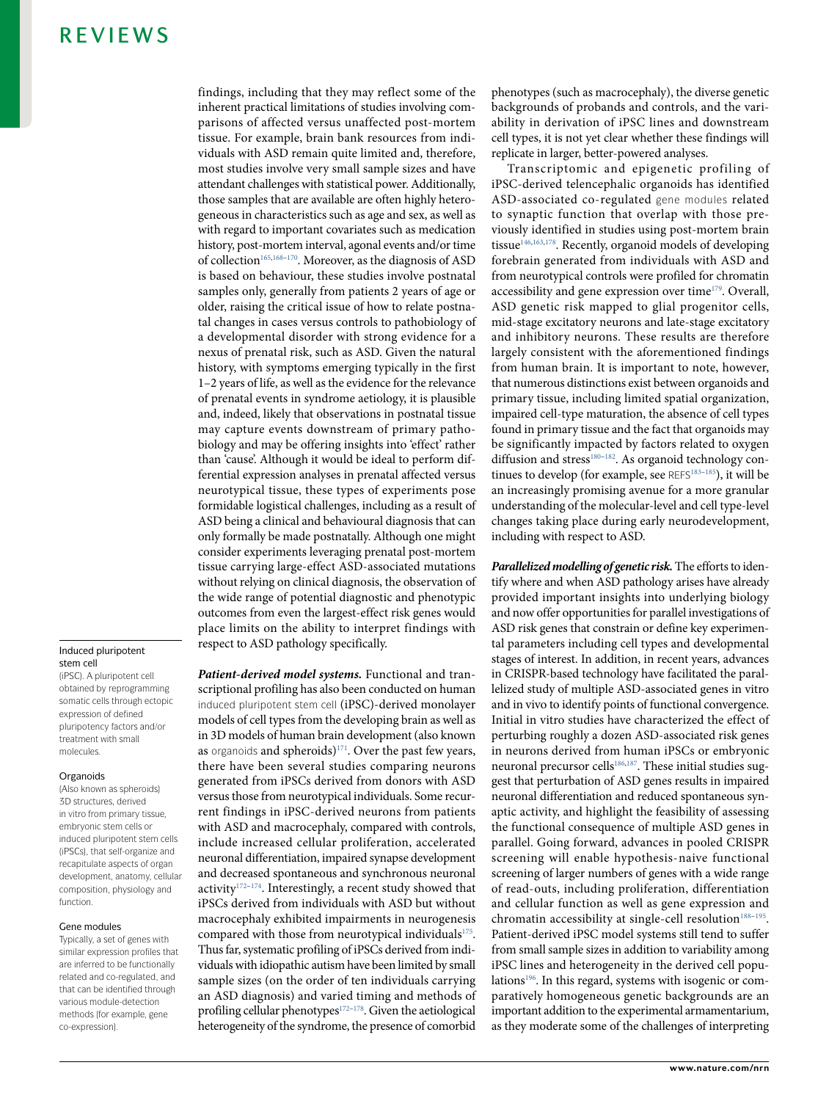#### Induced pluripotent stem cell

(iPSC). A pluripotent cell obtained by reprogramming somatic cells through ectopic expression of defined pluripotency factors and/or treatment with small molecules.

#### **Organoids**

(Also known as spheroids) 3D structures, derived in vitro from primary tissue, embryonic stem cells or induced pluripotent stem cells (iPSCs), that self-organize and recapitulate aspects of organ development, anatomy, cellular composition, physiology and function.

#### Gene modules

Typically, a set of genes with similar expression profiles that are inferred to be functionally related and co-regulated, and that can be identified through various module-detection methods (for example, gene co-expression).

findings, including that they may reflect some of the inherent practical limitations of studies involving comparisons of affected versus unaffected post- mortem tissue. For example, brain bank resources from individuals with ASD remain quite limited and, therefore, most studies involve very small sample sizes and have attendant challenges with statistical power. Additionally, those samples that are available are often highly heterogeneous in characteristics such as age and sex, as well as with regard to important covariates such as medication history, post-mortem interval, agonal events and/or time of collection<sup>[165,](#page-17-18)168-[170](#page-17-21)</sup>. Moreover, as the diagnosis of ASD is based on behaviour, these studies involve postnatal samples only, generally from patients 2 years of age or older, raising the critical issue of how to relate postnatal changes in cases versus controls to pathobiology of a developmental disorder with strong evidence for a nexus of prenatal risk, such as ASD. Given the natural history, with symptoms emerging typically in the first 1–2 years of life, as well as the evidence for the relevance of prenatal events in syndrome aetiology, it is plausible and, indeed, likely that observations in postnatal tissue may capture events downstream of primary pathobiology and may be offering insights into 'effect' rather than 'cause'. Although it would be ideal to perform differential expression analyses in prenatal affected versus neurotypical tissue, these types of experiments pose formidable logistical challenges, including as a result of ASD being a clinical and behavioural diagnosis that can only formally be made postnatally. Although one might consider experiments leveraging prenatal post- mortem tissue carrying large- effect ASD- associated mutations without relying on clinical diagnosis, the observation of the wide range of potential diagnostic and phenotypic outcomes from even the largest-effect risk genes would place limits on the ability to interpret findings with respect to ASD pathology specifically.

**Patient- derived model systems.** Functional and transcriptional profiling has also been conducted on human induced pluripotent stem cell (iPSC)-derived monolayer models of cell types from the developing brain as well as in 3D models of human brain development (also known as organoids and spheroids) $171$ . Over the past few years, there have been several studies comparing neurons generated from iPSCs derived from donors with ASD versus those from neurotypical individuals. Some recurrent findings in iPSC- derived neurons from patients with ASD and macrocephaly, compared with controls, include increased cellular proliferation, accelerated neuronal differentiation, impaired synapse development and decreased spontaneous and synchronous neuronal activity<sup>[172](#page-17-23)-174</sup>. Interestingly, a recent study showed that iPSCs derived from individuals with ASD but without macrocephaly exhibited impairments in neurogenesis compared with those from neurotypical individuals $175$ . Thus far, systematic profiling of iPSCs derived from individuals with idiopathic autism have been limited by small sample sizes (on the order of ten individuals carrying an ASD diagnosis) and varied timing and methods of profiling cellular phenotypes $172-178$  $172-178$ . Given the aetiological heterogeneity of the syndrome, the presence of comorbid

phenotypes (such as macrocephaly), the diverse genetic backgrounds of probands and controls, and the variability in derivation of iPSC lines and downstream cell types, it is not yet clear whether these findings will replicate in larger, better- powered analyses.

Transcriptomic and epigenetic profiling of iPSC-derived telencephalic organoids has identified ASD-associated co- regulated gene modules related to synaptic function that overlap with those previously identified in studies using post-mortem brain tissue<sup>[146,](#page-17-0)[163,](#page-17-13)[178](#page-17-26)</sup>. Recently, organoid models of developing forebrain generated from individuals with ASD and from neurotypical controls were profiled for chromatin accessibility and gene expression over time<sup>[179](#page-17-27)</sup>. Overall, ASD genetic risk mapped to glial progenitor cells, mid- stage excitatory neurons and late- stage excitatory and inhibitory neurons. These results are therefore largely consistent with the aforementioned findings from human brain. It is important to note, however, that numerous distinctions exist between organoids and primary tissue, including limited spatial organization, impaired cell- type maturation, the absence of cell types found in primary tissue and the fact that organoids may be significantly impacted by factors related to oxygen diffusion and stress<sup>[180–](#page-17-28)[182](#page-17-29)</sup>. As organoid technology con-tinues to develop (for example, see REFS<sup>183-[185](#page-17-31)</sup>), it will be an increasingly promising avenue for a more granular understanding of the molecular- level and cell type- level changes taking place during early neurodevelopment, including with respect to ASD.

**Parallelized modelling of genetic risk.** The efforts to identify where and when ASD pathology arises have already provided important insights into underlying biology and now offer opportunities for parallel investigations of ASD risk genes that constrain or define key experimental parameters including cell types and developmental stages of interest. In addition, in recent years, advances in CRISPR- based technology have facilitated the parallelized study of multiple ASD- associated genes in vitro and in vivo to identify points of functional convergence. Initial in vitro studies have characterized the effect of perturbing roughly a dozen ASD-associated risk genes in neurons derived from human iPSCs or embryonic neuronal precursor cells<sup>[186](#page-17-32)[,187](#page-17-33)</sup>. These initial studies suggest that perturbation of ASD genes results in impaired neuronal differentiation and reduced spontaneous synaptic activity, and highlight the feasibility of assessing the functional consequence of multiple ASD genes in parallel. Going forward, advances in pooled CRISPR screening will enable hypothesis- naive functional screening of larger numbers of genes with a wide range of read- outs, including proliferation, differentiation and cellular function as well as gene expression and chromatin accessibility at single-cell resolution<sup>188-[195](#page-17-35)</sup>. Patient- derived iPSC model systems still tend to suffer from small sample sizes in addition to variability among iPSC lines and heterogeneity in the derived cell popu-lations<sup>[196](#page-17-36)</sup>. In this regard, systems with isogenic or comparatively homogeneous genetic backgrounds are an important addition to the experimental armamentarium, as they moderate some of the challenges of interpreting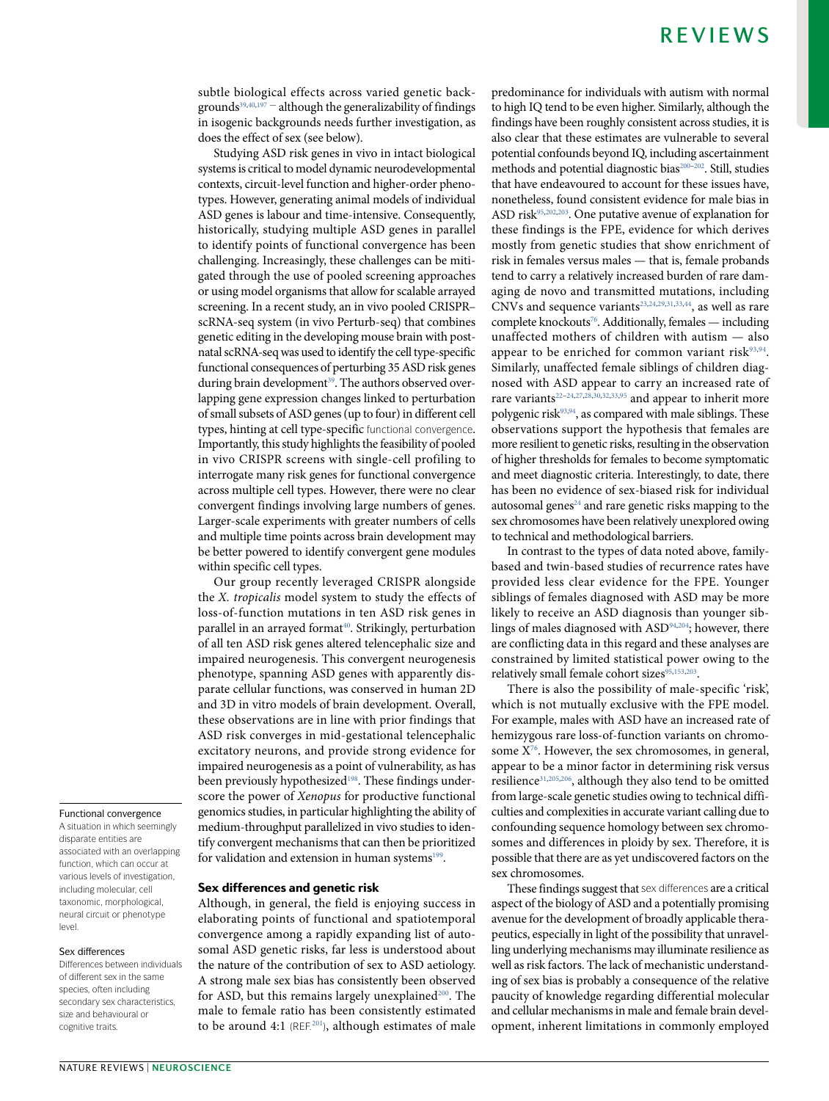subtle biological effects across varied genetic backgrounds $39,40,197$  $39,40,197$  $39,40,197$  – although the generalizability of findings in isogenic backgrounds needs further investigation, as does the effect of sex (see below).

Studying ASD risk genes in vivo in intact biological systems is critical to model dynamic neurodevelopmental contexts, circuit-level function and higher-order phenotypes. However, generating animal models of individual ASD genes is labour and time-intensive. Consequently, historically, studying multiple ASD genes in parallel to identify points of functional convergence has been challenging. Increasingly, these challenges can be mitigated through the use of pooled screening approaches or using model organisms that allow for scalable arrayed screening. In a recent study, an in vivo pooled CRISPR– scRNA- seq system (in vivo Perturb- seq) that combines genetic editing in the developing mouse brain with postnatal scRNA-seq was used to identify the cell type-specific functional consequences of perturbing 35 ASD risk genes during brain development<sup>[39](#page-15-7)</sup>. The authors observed overlapping gene expression changes linked to perturbation of small subsets of ASD genes (up to four) in different cell types, hinting at cell type-specific functional convergence. Importantly, this study highlights the feasibility of pooled in vivo CRISPR screens with single- cell profiling to interrogate many risk genes for functional convergence across multiple cell types. However, there were no clear convergent findings involving large numbers of genes. Larger- scale experiments with greater numbers of cells and multiple time points across brain development may be better powered to identify convergent gene modules within specific cell types.

Our group recently leveraged CRISPR alongside the X. tropicalis model system to study the effects of loss- of- function mutations in ten ASD risk genes in parallel in an arrayed format<sup>[40](#page-15-2)</sup>. Strikingly, perturbation of all ten ASD risk genes altered telencephalic size and impaired neurogenesis. This convergent neurogenesis phenotype, spanning ASD genes with apparently disparate cellular functions, was conserved in human 2D and 3D in vitro models of brain development. Overall, these observations are in line with prior findings that ASD risk converges in mid- gestational telencephalic excitatory neurons, and provide strong evidence for impaired neurogenesis as a point of vulnerability, as has been previously hypothesized<sup>[198](#page-17-38)</sup>. These findings underscore the power of Xenopus for productive functional genomics studies, in particular highlighting the ability of medium- throughput parallelized in vivo studies to identify convergent mechanisms that can then be prioritized for validation and extension in human systems<sup>[199](#page-17-19)</sup>.

#### Sex differences and genetic risk

Although, in general, the field is enjoying success in elaborating points of functional and spatiotemporal convergence among a rapidly expanding list of autosomal ASD genetic risks, far less is understood about the nature of the contribution of sex to ASD aetiology. A strong male sex bias has consistently been observed for ASD, but this remains largely unexplained<sup>[200](#page-17-39)</sup>. The male to female ratio has been consistently estimated to be around 4:1 (REF.<sup>[201](#page-17-40)</sup>), although estimates of male predominance for individuals with autism with normal to high IQ tend to be even higher. Similarly, although the findings have been roughly consistent across studies, it is also clear that these estimates are vulnerable to several potential confounds beyond IQ, including ascertainment methods and potential diagnostic bias<sup>[200](#page-17-39)-[202](#page-17-41)</sup>. Still, studies that have endeavoured to account for these issues have, nonetheless, found consistent evidence for male bias in ASD risk<sup>[95](#page-16-9)[,202,](#page-17-41)[203](#page-17-42)</sup>. One putative avenue of explanation for these findings is the FPE, evidence for which derives mostly from genetic studies that show enrichment of risk in females versus males — that is, female probands tend to carry a relatively increased burden of rare damaging de novo and transmitted mutations, including  $CNVs$  and sequence variants<sup>[23](#page-14-10)[,24](#page-14-9),[29,](#page-14-5)[31](#page-14-7)[,33,](#page-15-11)[44](#page-15-5)</sup>, as well as rare complete knockouts<sup>[76](#page-15-36)</sup>. Additionally, females — including unaffected mothers of children with autism — also appear to be enriched for common variant risk<sup>[93](#page-16-7)[,94](#page-16-8)</sup>. Similarly, unaffected female siblings of children diagnosed with ASD appear to carry an increased rate of rare variants<sup>[22](#page-14-8)-24,[27,](#page-14-15)[28](#page-14-12)[,30,](#page-14-6)[32](#page-14-11)[,33](#page-15-11),[95](#page-16-9)</sup> and appear to inherit more polygenic risk<sup>[93,](#page-16-7)[94](#page-16-8)</sup>, as compared with male siblings. These observations support the hypothesis that females are more resilient to genetic risks, resulting in the observation of higher thresholds for females to become symptomatic and meet diagnostic criteria. Interestingly, to date, there has been no evidence of sex-biased risk for individual autosomal genes $24$  and rare genetic risks mapping to the sex chromosomes have been relatively unexplored owing to technical and methodological barriers.

In contrast to the types of data noted above, familybased and twin- based studies of recurrence rates have provided less clear evidence for the FPE. Younger siblings of females diagnosed with ASD may be more likely to receive an ASD diagnosis than younger sib-lings of males diagnosed with ASD<sup>[94](#page-16-8)[,204](#page-17-43)</sup>; however, there are conflicting data in this regard and these analyses are constrained by limited statistical power owing to the relatively small female cohort sizes<sup>[95](#page-16-9)[,153](#page-17-3)[,203](#page-17-42)</sup>.

There is also the possibility of male-specific 'risk', which is not mutually exclusive with the FPE model. For example, males with ASD have an increased rate of hemizygous rare loss-of-function variants on chromosome  $X^{\frac{7}{6}}$ . However, the sex chromosomes, in general, appear to be a minor factor in determining risk versus resilience[31](#page-14-7)[,205,](#page-17-44)[206](#page-17-45), although they also tend to be omitted from large- scale genetic studies owing to technical difficulties and complexities in accurate variant calling due to confounding sequence homology between sex chromosomes and differences in ploidy by sex. Therefore, it is possible that there are as yet undiscovered factors on the sex chromosomes.

These findings suggest that sex differences are a critical aspect of the biology of ASD and a potentially promising avenue for the development of broadly applicable therapeutics, especially in light of the possibility that unravelling underlying mechanisms may illuminate resilience as well as risk factors. The lack of mechanistic understanding of sex bias is probably a consequence of the relative paucity of knowledge regarding differential molecular and cellular mechanisms in male and female brain development, inherent limitations in commonly employed

#### Functional convergence

A situation in which seemingly disparate entities are associated with an overlapping function, which can occur at various levels of investigation, including molecular, cell taxonomic, morphological, neural circuit or phenotype  $|P|$ 

#### Sex differences

Differences between individuals of different sex in the same species, often including secondary sex characteristics, size and behavioural or cognitive traits.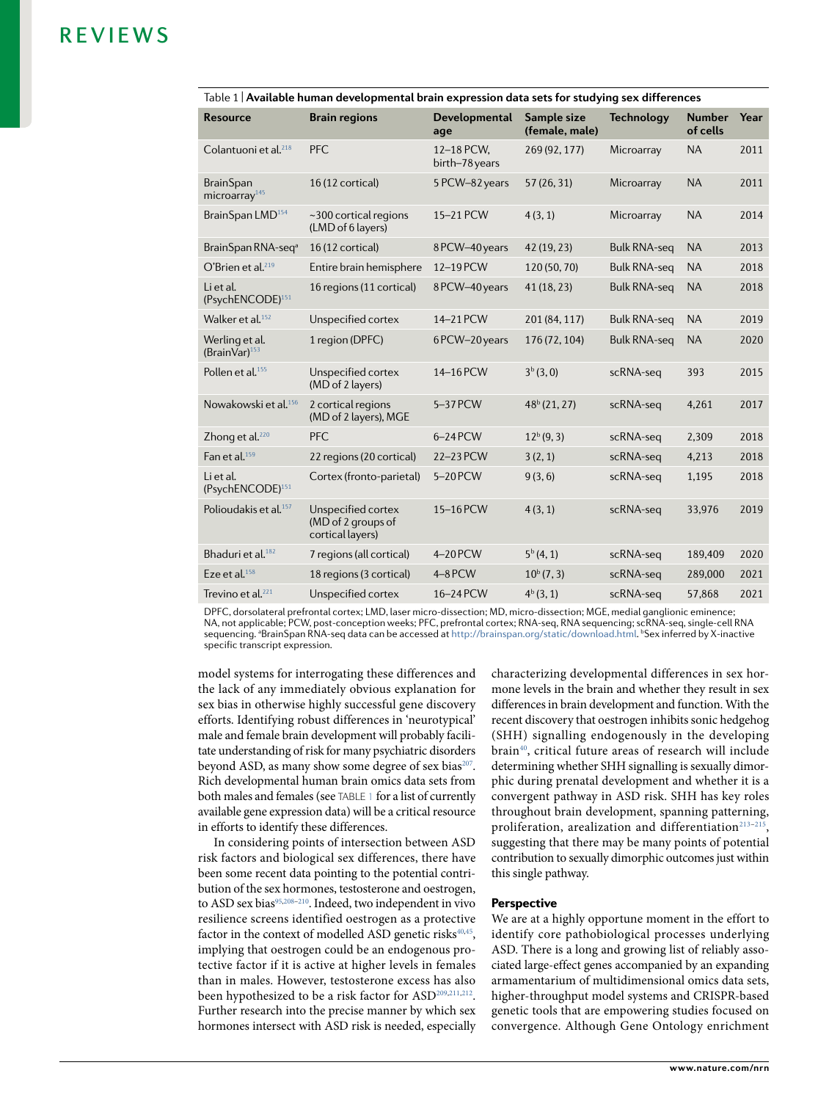| <b>Resource</b>                               | <b>Brain regions</b>                                         | <b>Developmental</b><br>age  | Sample size<br>(female, male) | <b>Technology</b>   | <b>Number</b><br>of cells | Year |
|-----------------------------------------------|--------------------------------------------------------------|------------------------------|-------------------------------|---------------------|---------------------------|------|
| Colantuoni et al 218                          | <b>PFC</b>                                                   | 12-18 PCW,<br>birth-78 years | 269 (92, 177)                 | Microarray          | <b>NA</b>                 | 2011 |
| <b>BrainSpan</b><br>microarray <sup>145</sup> | 16 (12 cortical)                                             | 5 PCW-82 years               | 57 (26, 31)                   | Microarray          | <b>NA</b>                 | 2011 |
| BrainSpan LMD <sup>154</sup>                  | $\sim$ 300 cortical regions<br>(LMD of 6 layers)             | 15-21 PCW                    | 4(3, 1)                       | Microarray          | <b>NA</b>                 | 2014 |
| BrainSpan RNA-seq <sup>a</sup>                | 16 (12 cortical)                                             | 8PCW-40years                 | 42 (19, 23)                   | <b>Bulk RNA-seq</b> | <b>NA</b>                 | 2013 |
| O'Brien et al. $^{219}$                       | Entire brain hemisphere                                      | 12-19 PCW                    | 120 (50, 70)                  | <b>Bulk RNA-seg</b> | <b>NA</b>                 | 2018 |
| Li et al.<br>(PsychENCODE) <sup>151</sup>     | 16 regions (11 cortical)                                     | 8PCW-40years                 | 41 (18, 23)                   | <b>Bulk RNA-seq</b> | <b>NA</b>                 | 2018 |
| Walker et al. $152$                           | Unspecified cortex                                           | 14-21 PCW                    | 201 (84, 117)                 | <b>Bulk RNA-seg</b> | <b>NA</b>                 | 2019 |
| Werling et al.<br>(BrainVar) $153$            | 1 region (DPFC)                                              | 6PCW-20years                 | 176 (72, 104)                 | <b>Bulk RNA-seg</b> | <b>NA</b>                 | 2020 |
| Pollen et al. <sup>155</sup>                  | Unspecified cortex<br>(MD of 2 layers)                       | 14-16 PCW                    | 3 <sup>b</sup> (3, 0)         | scRNA-seq           | 393                       | 2015 |
| Nowakowski et al. <sup>156</sup>              | 2 cortical regions<br>(MD of 2 layers), MGE                  | 5-37 PCW                     | 48 <sup>b</sup> (21, 27)      | scRNA-seq           | 4.261                     | 2017 |
| Zhong et al. <sup>220</sup>                   | <b>PFC</b>                                                   | 6-24 PCW                     | $12^{b}(9, 3)$                | scRNA-seq           | 2,309                     | 2018 |
| Fan et al. <sup>159</sup>                     | 22 regions (20 cortical)                                     | 22-23 PCW                    | 3(2, 1)                       | scRNA-seq           | 4,213                     | 2018 |
| Li et al.<br>(PsychENCODE) <sup>151</sup>     | Cortex (fronto-parietal)                                     | 5-20 PCW                     | 9(3, 6)                       | scRNA-seq           | 1,195                     | 2018 |
| Polioudakis et al <sup>157</sup>              | Unspecified cortex<br>(MD of 2 groups of<br>cortical layers) | 15-16 PCW                    | 4(3, 1)                       | scRNA-seq           | 33,976                    | 2019 |
| Bhaduri et al. <sup>182</sup>                 | 7 regions (all cortical)                                     | 4-20 PCW                     | $5^{b}(4, 1)$                 | scRNA-seq           | 189,409                   | 2020 |
| Eze et al. <sup>158</sup>                     | 18 regions (3 cortical)                                      | 4-8 PCW                      | $10^{b} (7, 3)$               | scRNA-seq           | 289,000                   | 2021 |
| Trevino et al. <sup>221</sup>                 | Unspecified cortex                                           | 16-24 PCW                    | $4^b(3,1)$                    | scRNA-seq           | 57,868                    | 2021 |

<span id="page-13-0"></span>Table 1 | **Available human developmental brain expression data sets for studying sex differences**

DPFC, dorsolateral prefrontal cortex; LMD, laser micro- dissection; MD, micro- dissection; MGE, medial ganglionic eminence; NA, not applicable; PCW, post- conception weeks; PFC, prefrontal cortex; RNA- seq, RNA sequencing; scRNA- seq, single- cell RNA sequencing. <sup>a</sup>BrainSpan RNA-seq data can be accessed at [http://brainspan.org/static/download.html.](http://brainspan.org/static/download.html) <sup>b</sup>Sex inferred by X-inactive specific transcript expression.

model systems for interrogating these differences and the lack of any immediately obvious explanation for sex bias in otherwise highly successful gene discovery efforts. Identifying robust differences in 'neurotypical' male and female brain development will probably facilitate understanding of risk for many psychiatric disorders beyond ASD, as many show some degree of sex bias<sup>[207](#page-17-46)</sup>. Rich developmental human brain omics data sets from both males and females (see TABLE [1](#page-13-0) for a list of currently available gene expression data) will be a critical resource in efforts to identify these differences.

In considering points of intersection between ASD risk factors and biological sex differences, there have been some recent data pointing to the potential contribution of the sex hormones, testosterone and oestrogen, to ASD sex bias<sup>[95,](#page-16-9)208-[210](#page-17-48)</sup>. Indeed, two independent in vivo resilience screens identified oestrogen as a protective factor in the context of modelled ASD genetic risks<sup>[40](#page-15-2),[45](#page-15-8)</sup>, implying that oestrogen could be an endogenous protective factor if it is active at higher levels in females than in males. However, testosterone excess has also been hypothesized to be a risk factor for ASD<sup>[209,](#page-17-49)[211,](#page-17-50)[212](#page-17-51)</sup>. Further research into the precise manner by which sex hormones intersect with ASD risk is needed, especially characterizing developmental differences in sex hormone levels in the brain and whether they result in sex differences in brain development and function. With the recent discovery that oestrogen inhibits sonic hedgehog (SHH) signalling endogenously in the developing brain[40](#page-15-2), critical future areas of research will include determining whether SHH signalling is sexually dimorphic during prenatal development and whether it is a convergent pathway in ASD risk. SHH has key roles throughout brain development, spanning patterning, proliferation, arealization and differentiation<sup>213-[215](#page-17-53)</sup>, suggesting that there may be many points of potential contribution to sexually dimorphic outcomes just within this single pathway.

#### **Perspective**

We are at a highly opportune moment in the effort to identify core pathobiological processes underlying ASD. There is a long and growing list of reliably associated large- effect genes accompanied by an expanding armamentarium of multidimensional omics data sets, higher-throughput model systems and CRISPR-based genetic tools that are empowering studies focused on convergence. Although Gene Ontology enrichment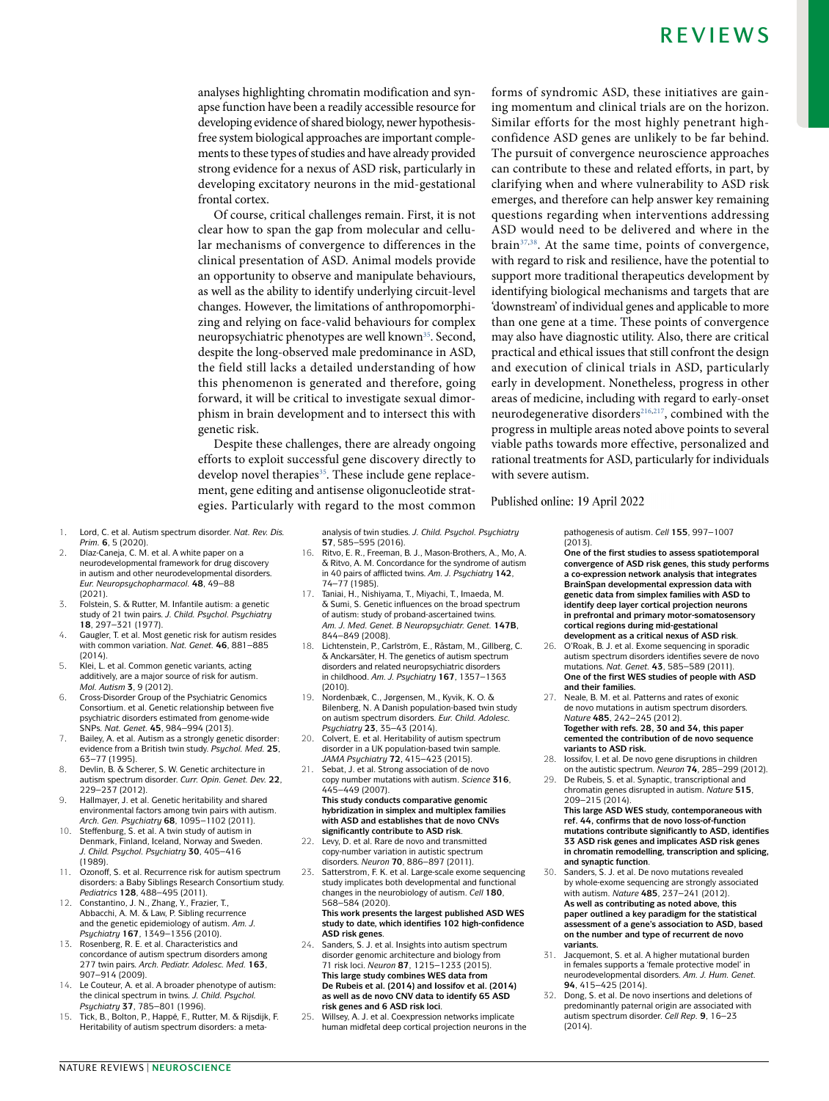analyses highlighting chromatin modification and synapse function have been a readily accessible resource for developing evidence of shared biology, newer hypothesisfree system biological approaches are important complements to these types of studies and have already provided strong evidence for a nexus of ASD risk, particularly in developing excitatory neurons in the mid- gestational frontal cortex.

Of course, critical challenges remain. First, it is not clear how to span the gap from molecular and cellular mechanisms of convergence to differences in the clinical presentation of ASD. Animal models provide an opportunity to observe and manipulate behaviours, as well as the ability to identify underlying circuit- level changes. However, the limitations of anthropomorphizing and relying on face- valid behaviours for complex neuropsychiatric phenotypes are well known<sup>[35](#page-15-1)</sup>. Second, despite the long- observed male predominance in ASD, the field still lacks a detailed understanding of how this phenomenon is generated and therefore, going forward, it will be critical to investigate sexual dimorphism in brain development and to intersect this with genetic risk.

Despite these challenges, there are already ongoing efforts to exploit successful gene discovery directly to develop novel therapies<sup>[35](#page-15-1)</sup>. These include gene replacement, gene editing and antisense oligonucleotide strategies. Particularly with regard to the most common

forms of syndromic ASD, these initiatives are gaining momentum and clinical trials are on the horizon. Similar efforts for the most highly penetrant highconfidence ASD genes are unlikely to be far behind. The pursuit of convergence neuroscience approaches can contribute to these and related efforts, in part, by clarifying when and where vulnerability to ASD risk emerges, and therefore can help answer key remaining questions regarding when interventions addressing ASD would need to be delivered and where in the  $brain<sup>37,38</sup>$  $brain<sup>37,38</sup>$  $brain<sup>37,38</sup>$  $brain<sup>37,38</sup>$  $brain<sup>37,38</sup>$ . At the same time, points of convergence, with regard to risk and resilience, have the potential to support more traditional therapeutics development by identifying biological mechanisms and targets that are 'downstream' of individual genes and applicable to more than one gene at a time. These points of convergence may also have diagnostic utility. Also, there are critical practical and ethical issues that still confront the design and execution of clinical trials in ASD, particularly early in development. Nonetheless, progress in other areas of medicine, including with regard to early- onset neuro degenerative disorders<sup>[216](#page-17-56),[217](#page-18-13)</sup>, combined with the progress in multiple areas noted above points to several viable paths towards more effective, personalized and rational treatments for ASD, particularly for individuals with severe autism.

- <span id="page-14-0"></span>1. Lord, C. et al. Autism spectrum disorder. *Nat. Rev. Dis.*
- <span id="page-14-1"></span>*Prim.* **6**, 5 (2020). 2. Díaz-Caneja, C. M. et al. A white paper on a neurodevelopmental framework for drug discovery in autism and other neurodevelopmental disorders. *Eur. Neuropsychopharmacol.* **48**, 49–88 (2021).
- <span id="page-14-2"></span>3. Folstein, S. & Rutter, M. Infantile autism: a genetic study of 21 twin pairs. *J. Child. Psychol. Psychiatry* **18**, 297–321 (1977).
- <span id="page-14-13"></span>4. Gaugler, T. et al. Most genetic risk for autism resides with common variation. *Nat. Genet.* **46**, 881–885 (2014).
- <span id="page-14-14"></span>5. Klei, L. et al. Common genetic variants, acting additively, are a major source of risk for autism. *Mol. Autism* **3**, 9 (2012).
- <span id="page-14-16"></span>6. Cross- Disorder Group of the Psychiatric Genomics Consortium. et al. Genetic relationship between five psychiatric disorders estimated from genome-wide SNPs. *Nat. Genet.* **45**, 984–994 (2013).
- 7. Bailey, A. et al. Autism as a strongly genetic disorder: evidence from a British twin study. *Psychol. Med.* **25**, 63–77 (1995).
- 8. Devlin, B. & Scherer, S. W. Genetic architecture in autism spectrum disorder. *Curr. Opin. Genet. Dev.* **22**, 229–237 (2012).
- 9. Hallmayer, J. et al. Genetic heritability and shared environmental factors among twin pairs with autism. *Arch. Gen. Psychiatry* **68**, 1095–1102 (2011).
- 10. Steffenburg, S. et al. A twin study of autism in Denmark, Finland, Iceland, Norway and Sweden. *J. Child. Psychol. Psychiatry* **30**, 405–416 (1989).
- 11. Ozonoff, S. et al. Recurrence risk for autism spectrum disorders: a Baby Siblings Research Consortium study. *Pediatrics* **128**, 488–495 (2011).
- Constantino, J. N., Zhang, Y., Frazier, T., Abbacchi, A. M. & Law, P. Sibling recurrence and the genetic epidemiology of autism. *Am. J. Psychiatry* **167**, 1349–1356 (2010).
- 13. Rosenberg, R. E. et al. Characteristics and concordance of autism spectrum disorders among 277 twin pairs. *Arch. Pediatr. Adolesc. Med.* **163**, 907–914 (2009).
- 14. Le Couteur, A. et al. A broader phenotype of autism: the clinical spectrum in twins. *J. Child. Psychol. Psychiatry* **37**, 785–801 (1996).
- 15. Tick, B., Bolton, P., Happé, F., Rutter, M. & Rijsdijk, F. Heritability of autism spectrum disorders: a meta-

analysis of twin studies. *J. Child. Psychol. Psychiatry* **57**, 585–595 (2016).

- 16. Ritvo, E. R., Freeman, B. J., Mason- Brothers, A., Mo, A. & Ritvo, A. M. Concordance for the syndrome of autism in 40 pairs of afflicted twins. *Am. J. Psychiatry* **142**, 74–77 (1985).
- Taniai, H., Nishiyama, T., Miyachi, T., Imaeda, M. & Sumi, S. Genetic influences on the broad spectrum of autism: study of proband-ascertained twins. *Am. J. Med. Genet. B Neuropsychiatr. Genet.* **147B**, 844–849 (2008).
- Lichtenstein, P., Carlström, E., Råstam, M., Gillberg, C. & Anckarsäter, H. The genetics of autism spectrum disorders and related neuropsychiatric disorders in childhood. *Am. J. Psychiatry* **167**, 1357–1363 (2010).
- 19. Nordenbæk, C., Jørgensen, M., Kyvik, K. O. & Bilenberg, N. A Danish population-based twin study on autism spectrum disorders. *Eur. Child. Adolesc. Psychiatry* **23**, 35–43 (2014).
- <span id="page-14-3"></span>20. Colvert, E. et al. Heritability of autism spectrum disorder in a UK population-based twin sample. *JAMA Psychiatry* **72**, 415–423 (2015).
- <span id="page-14-4"></span>21. Sebat, J. et al. Strong association of de novo copy number mutations with autism. *Science* **316**, 445–449 (2007). **This study conducts comparative genomic hybridization in simplex and multiplex families with ASD and establishes that de novo CNVs significantly contribute to ASD risk**.
- <span id="page-14-8"></span>22. Levy, D. et al. Rare de novo and transmitted copy-number variation in autistic spectrum disorders. *Neuron* **70**, 886–897 (2011).
- <span id="page-14-10"></span>23. Satterstrom, F. K. et al. Large- scale exome sequencing study implicates both developmental and functional changes in the neurobiology of autism. *Cell* **180**, 568–584 (2020).

**This work presents the largest published ASD WES study to date, which identifies 102 high- confidence ASD risk genes**.

- <span id="page-14-9"></span>24. Sanders, S. J. et al. Insights into autism spectrum disorder genomic architecture and biology from 71 risk loci. *Neuron* **87**, 1215–1233 (2015). **This large study combines WES data from De Rubeis et al. (2014) and Iossifov et al. (2014) as well as de novo CNV data to identify 65 ASD risk genes and 6 ASD risk loci**.
- <span id="page-14-17"></span>Willsey, A. J. et al. Coexpression networks implicate human midfetal deep cortical projection neurons in the

pathogenesis of autism. *Cell* **155**, 997–1007 (2013).

Published online: 19 April 2022

**One of the first studies to assess spatiotemporal convergence of ASD risk genes, this study performs a co- expression network analysis that integrates BrainSpan developmental expression data with genetic data from simplex families with ASD to identify deep layer cortical projection neurons**  in prefrontal and primary motor-somatosensory **cortical regions during mid- gestational development as a critical nexus of ASD risk**.

- 26. O'Roak, B. J. et al. Exome sequencing in sporadic autism spectrum disorders identifies severe de novo mutations. *Nat. Genet.* **43**, 585–589 (2011). **One of the first WES studies of people with ASD and their families.**
- <span id="page-14-15"></span>27. Neale, B. M. et al. Patterns and rates of exonic de novo mutations in autism spectrum disorders. *Nature* **485**, 242–245 (2012). **Together with refs. 28, 30 and 34, this paper cemented the contribution of de novo sequence variants to ASD risk.**
- <span id="page-14-12"></span>28. Iossifov, I. et al. De novo gene disruptions in children on the autistic spectrum. *Neuron* **74**, 285–299 (2012).
- <span id="page-14-5"></span>29. De Rubeis, S. et al. Synaptic, transcriptional and chromatin genes disrupted in autism. *Nature* **515**, 209–215 (2014). **This large ASD WES study, contemporaneous with ref. 44, confirms that de novo loss-of-function**

**mutations contribute significantly to ASD, identifies 33 ASD risk genes and implicates ASD risk genes in chromatin remodelling, transcription and splicing, and synaptic function**.

- <span id="page-14-6"></span>30. Sanders, S. J. et al. De novo mutations revealed by whole-exome sequencing are strongly associated with autism. *Nature* **485**, 237–241 (2012). **As well as contributing as noted above, this paper outlined a key paradigm for the statistical assessment of a gene's association to ASD, based on the number and type of recurrent de novo variants.**
- <span id="page-14-7"></span>31. Jacquemont, S. et al. A higher mutational burden in females supports a 'female protective model' in neurodevelopmental disorders. *Am. J. Hum. Genet.* **94**, 415–425 (2014).
- <span id="page-14-11"></span>32. Dong, S. et al. De novo insertions and deletions of predominantly paternal origin are associated with autism spectrum disorder. *Cell Rep.* **9**, 16–23  $(2014)$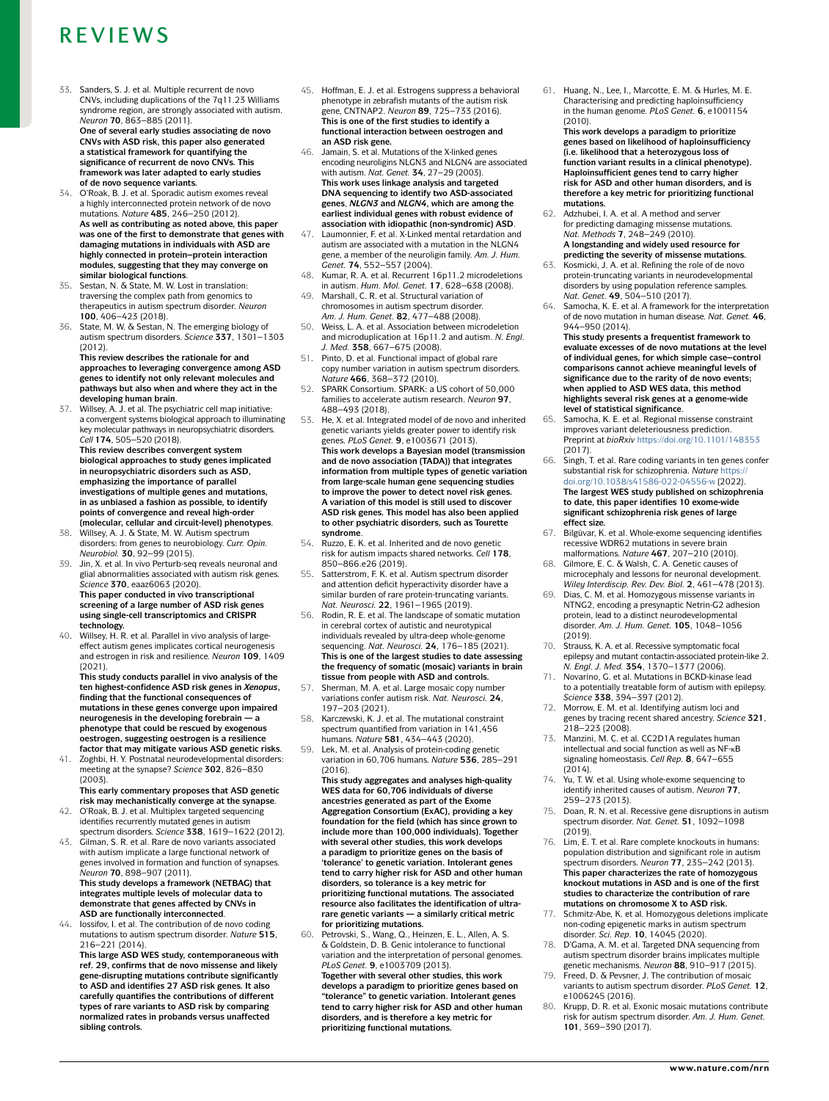<span id="page-15-11"></span>33. Sanders, S. J. et al. Multiple recurrent de novo CNVs, including duplications of the 7q11.23 Williams syndrome region, are strongly associated with autism. *Neuron* **70**, 863–885 (2011). **One of several early studies associating de novo CNVs with ASD risk, this paper also generated a statistical framework for quantifying the** 

**significance of recurrent de novo CNVs. This framework was later adapted to early studies of de novo sequence variants.** 34. O'Roak, B. J. et al. Sporadic autism exomes reveal

- <span id="page-15-0"></span>a highly interconnected protein network of de novo mutations. *Nature* **485**, 246–250 (2012). **As well as contributing as noted above, this paper was one of the first to demonstrate that genes with damaging mutations in individuals with ASD are highly connected in protein–protein interaction modules, suggesting that they may converge on similar biological functions**.
- <span id="page-15-1"></span>Sestan, N. & State, M. W. Lost in translation: traversing the complex path from genomics to therapeutics in autism spectrum disorder. *Neuron* **100**, 406–423 (2018).
- State, M. W. & Sestan, N. The emerging biology of autism spectrum disorders. *Science* **337**, 1301–1303 (2012).

**This review describes the rationale for and approaches to leveraging convergence among ASD genes to identify not only relevant molecules and pathways but also when and where they act in the developing human brain**.

<span id="page-15-6"></span>37. Willsey, A. J. et al. The psychiatric cell map initiative: a convergent systems biological approach to illuminating key molecular pathways in neuropsychiatric disorders. *Cell* **174**, 505–520 (2018).

**This review describes convergent system biological approaches to study genes implicated in neuropsychiatric disorders such as ASD, emphasizing the importance of parallel investigations of multiple genes and mutations, in as unbiased a fashion as possible, to identify points of convergence and reveal high- order** 

- <span id="page-15-34"></span>**(molecular, cellular and circuit- level) phenotypes**. 38. Willsey, A. J. & State, M. W. Autism spectrum disorders: from genes to neurobiology. *Curr. Opin. Neurobiol.* **30**, 92–99 (2015).
- <span id="page-15-7"></span>39. Jin, X. et al. In vivo Perturb-seq reveals neuronal and glial abnormalities associated with autism risk genes. *Science* **370**, eaaz6063 (2020). **This paper conducted in vivo transcriptional screening of a large number of ASD risk genes using single-cell transcriptomics and CRISPR technology.**<br>40. Willsey, H. R. et al. Parallel in vivo analysis of large-
- <span id="page-15-2"></span>effect autism genes implicates cortical neurogenesis and estrogen in risk and resilience. *Neuron* **109**, 1409 (2021).

**This study conducts parallel in vivo analysis of the ten highest- confidence ASD risk genes in** *Xenopus***, finding that the functional consequences of mutations in these genes converge upon impaired neurogenesis in the developing forebrain — a phenotype that could be rescued by exogenous oestrogen, suggesting oestrogen is a resilience factor that may mitigate various ASD genetic risks**.

<span id="page-15-3"></span>41. Zoghbi, H. Y. Postnatal neurodevelopmental disorders: meeting at the synapse? *Science* **302**, 826–830 (2003). **This early commentary proposes that ASD genetic** 

**risk may mechanistically converge at the synapse**. 42. O'Roak, B. J. et al. Multiplex targeted sequencing

<span id="page-15-35"></span><span id="page-15-4"></span>identifies recurrently mutated genes in autism spectrum disorders. *Science* **338**, 1619–1622 (2012). 43. Gilman, S. R. et al. Rare de novo variants associated with autism implicate a large functional network of genes involved in formation and function of synapses. *Neuron* **70**, 898–907 (2011). **This study develops a framework (NETBAG) that integrates multiple levels of molecular data to demonstrate that genes affected by CNVs in** 

<span id="page-15-5"></span>**ASD are functionally interconnected**. lossifov, I. et al. The contribution of de novo coding mutations to autism spectrum disorder. *Nature* **515**, 216–221 (2014).

**This large ASD WES study, contemporaneous with ref. 29, confirms that de novo missense and likely gene- disrupting mutations contribute significantly to ASD and identifies 27 ASD risk genes. It also carefully quantifies the contributions of different types of rare variants to ASD risk by comparing normalized rates in probands versus unaffected sibling controls.**

- <span id="page-15-8"></span>45. Hoffman, E. J. et al. Estrogens suppress a behavioral phenotype in zebrafish mutants of the autism risk gene, CNTNAP2. *Neuron* **89**, 725–733 (2016). **This is one of the first studies to identify a functional interaction between oestrogen and an ASD risk gene.**
- <span id="page-15-9"></span>46. Jamain, S. et al. Mutations of the X- linked genes encoding neuroligins NLGN3 and NLGN4 are associated with autism. *Nat. Genet.* **34**, 27–29 (2003). **This work uses linkage analysis and targeted DNA sequencing to identify two ASD-associated genes**, *NLGN3* **and** *NLGN4***, which are among the earliest individual genes with robust evidence of association with idiopathic (non- syndromic) ASD**.
- <span id="page-15-10"></span>47. Laumonnier, F. et al. X- Linked mental retardation and autism are associated with a mutation in the NLGN4 gene, a member of the neuroligin family. *Am. J. Hum. Genet.* **74**, 552–557 (2004).
- <span id="page-15-12"></span>48. Kumar, R. A. et al. Recurrent 16p11.2 microdeletions in autism. *Hum. Mol. Genet.* **17**, 628–638 (2008).
- 49. Marshall, C. R. et al. Structural variation of chromosomes in autism spectrum disorder. *Am. J. Hum. Genet.* **82**, 477–488 (2008).
- Some Schaling School: 22, 117, 155 (2005).<br>Weiss, L. A. et al. Association between microdeletion and microduplication at 16p11.2 and autism. *N. Engl. J. Med.* **358**, 667–675 (2008).
- <span id="page-15-13"></span>51. Pinto, D. et al. Functional impact of global rare copy number variation in autism spectrum disorders. *Nature* **466**, 368–372 (2010).
- <span id="page-15-14"></span>52. SPARK Consortium. SPARK: a US cohort of 50,000 families to accelerate autism research. *Neuron* **97**, 488–493 (2018).
- <span id="page-15-15"></span>53. He, X. et al. Integrated model of de novo and inherited genetic variants yields greater power to identify risk genes. *PLoS Genet.* **9**, e1003671 (2013). **This work develops a Bayesian model (transmission and de novo association (TADA)) that integrates information from multiple types of genetic variation from large- scale human gene sequencing studies to improve the power to detect novel risk genes. A variation of this model is still used to discover ASD risk genes. This model has also been applied to other psychiatric disorders, such as Tourette syndrome**.
- <span id="page-15-33"></span>54. Ruzzo, E. K. et al. Inherited and de novo genetic risk for autism impacts shared networks. *Cell* **178**, 850–866.e26 (2019).
- <span id="page-15-19"></span>55. Satterstrom, F. K. et al. Autism spectrum disorder and attention deficit hyperactivity disorder have a similar burden of rare protein-truncating variants. *Nat. Neurosci.* **22**, 1961–1965 (2019).
- <span id="page-15-29"></span>56. Rodin, R. E. et al. The landscape of somatic mutation in cerebral cortex of autistic and neurotypical individuals revealed by ultra-deep whole-genome<br>sequencing. Nat. Neurosci. **24**, 176–185 (2021). **This is one of the largest studies to date assessing the frequency of somatic (mosaic) variants in brain tissue from people with ASD and controls.**
- <span id="page-15-16"></span>57. Sherman, M. A. et al. Large mosaic copy number variations confer autism risk. *Nat. Neurosci.* **24**, 197–203 (2021).
- <span id="page-15-17"></span>58. Karczewski, K. J. et al. The mutational constraint spectrum quantified from variation in 141,456 humans. *Nature* **581**, 434–443 (2020).
- 59. Lek, M. et al. Analysis of protein- coding genetic variation in 60,706 humans. *Nature* **536**, 285–291  $(2016)$

**This study aggregates and analyses high- quality WES data for 60,706 individuals of diverse ancestries generated as part of the Exome Aggregation Consortium (ExAC), providing a key foundation for the field (which has since grown to include more than 100,000 individuals). Together with several other studies, this work develops a paradigm to prioritize genes on the basis of 'tolerance' to genetic variation. Intolerant genes tend to carry higher risk for ASD and other human disorders, so tolerance is a key metric for prioritizing functional mutations. The associated resource also facilitates the identification of ultrarare genetic variants — a similarly critical metric for prioritizing mutations.**

<span id="page-15-20"></span>60. Petrovski, S., Wang, Q., Heinzen, E. L., Allen, A. S. & Goldstein, D. B. Genic intolerance to functional variation and the interpretation of personal genomes. *PLoS Genet.* **9**, e1003709 (2013). **Together with several other studies, this work develops a paradigm to prioritize genes based on "tolerance" to genetic variation. Intolerant genes tend to carry higher risk for ASD and other human disorders, and is therefore a key metric for prioritizing functional mutations.**

61. Huang, N., Lee, I., Marcotte, E. M. & Hurles, M. E. Characterising and predicting haploinsufficiency in the human genome. *PLoS Genet.* **6**, e1001154 (2010).

**This work develops a paradigm to prioritize genes based on likelihood of haploinsufficiency (i.e. likelihood that a heterozygous loss of function variant results in a clinical phenotype). Haploinsufficient genes tend to carry higher risk for ASD and other human disorders, and is therefore a key metric for prioritizing functional mutations.**

- <span id="page-15-18"></span>62. Adzhubei, I. A. et al. A method and server for predicting damaging missense mutations. *Nat. Methods* **7**, 248–249 (2010). **A longstanding and widely used resource for**
- <span id="page-15-21"></span>**predicting the severity of missense mutations.** 63. Kosmicki, J. A. et al. Refining the role of de novo protein- truncating variants in neurodevelopmental disorders by using population reference samples.
- <span id="page-15-32"></span>*Nat. Genet.* **49**, 504–510 (2017). 64. Samocha, K. E. et al. A framework for the interpretation of de novo mutation in human disease. *Nat. Genet.* **46**, 944–950 (2014).
	- **This study presents a frequentist framework to evaluate excesses of de novo mutations at the level of individual genes, for which simple case–control comparisons cannot achieve meaningful levels of significance due to the rarity of de novo events; when applied to ASD WES data, this method highlights several risk genes at a genome- wide level of statistical significance**.
- <span id="page-15-22"></span>65. Samocha, K. E. et al. Regional missense constraint improves variant deleteriousness prediction. Preprint at *bioRxiv* <https://doi.org/10.1101/148353>
- <span id="page-15-23"></span>(2017). 66. Singh, T. et al. Rare coding variants in ten genes confer substantial risk for schizophrenia. *Nature* [https://](https://doi.org/10.1038/s41586-022-04556-w) [doi.org/10.1038/s41586-022-04556-w](https://doi.org/10.1038/s41586-022-04556-w) (2022). **The largest WES study published on schizophrenia to date, this paper identifies 10 exome-wide significant schizophrenia risk genes of large effect size.**
- <span id="page-15-24"></span>67. Bilgüvar, K. et al. Whole-exome sequencing identifies recessive WDR62 mutations in severe brain malformations. *Nature* **467**, 207–210 (2010).
- 68. Gilmore, E. C. & Walsh, C. A. Genetic causes of microcephaly and lessons for neuronal development. *Wiley Interdiscip. Rev. Dev. Biol.* **2**, 461–478 (2013).
- <span id="page-15-25"></span>Dias, C. M. et al. Homozygous missense variants in NTNG2, encoding a presynaptic Netrin-G2 adhesion protein, lead to a distinct neurodevelopmental disorder. *Am. J. Hum. Genet.* **105**, 1048–1056 (2019).
- <span id="page-15-26"></span>70. Strauss, K. A. et al. Recessive symptomatic focal epilepsy and mutant contactin- associated protein-like 2. *N. Engl. J. Med.* **354**, 1370–1377 (2006).
- 71. Novarino, G. et al. Mutations in BCKD-kinase lead to a potentially treatable form of autism with epilepsy. *Science* **338**, 394–397 (2012).
- Morrow, E. M. et al. Identifying autism loci and genes by tracing recent shared ancestry. *Science* **321**, 218–223 (2008).
- 73. Manzini, M. C. et al. CC2D1A regulates human intellectual and social function as well as NF-<sub>K</sub>B signaling homeostasis. *Cell Rep.* **8**, 647–655
- <span id="page-15-27"></span>(2014). 74. Yu, T. W. et al. Using whole- exome sequencing to identify inherited causes of autism. *Neuron* **77**, 259–273 (2013).
- Doan, R. N. et al. Recessive gene disruptions in autism spectrum disorder. *Nat. Genet.* **51**, 1092–1098 (2019).
- <span id="page-15-36"></span>76. Lim, E. T. et al. Rare complete knockouts in humans: population distribution and significant role in autism spectrum disorders. *Neuron* **77**, 235–242 (2013). **This paper characterizes the rate of homozygous knockout mutations in ASD and is one of the first studies to characterize the contribution of rare mutations on chromosome X to ASD risk.**
- <span id="page-15-28"></span>Schmitz-Abe, K. et al. Homozygous deletions implicate non- coding epigenetic marks in autism spectrum disorder. *Sci. Rep.* **10**, 14045 (2020).
- <span id="page-15-30"></span>78. D'Gama, A. M. et al. Targeted DNA sequencing from autism spectrum disorder brains implicates multiple genetic mechanisms. *Neuron* **88**, 910–917 (2015).
- <span id="page-15-31"></span>Freed, D. & Pevsner, J. The contribution of mosaic variants to autism spectrum disorder. *PLoS Genet.* **12**, e1006245 (2016).
- 80. Krupp, D. R. et al. Exonic mosaic mutations contribute risk for autism spectrum disorder. *Am. J. Hum. Genet.* **101**, 369–390 (2017).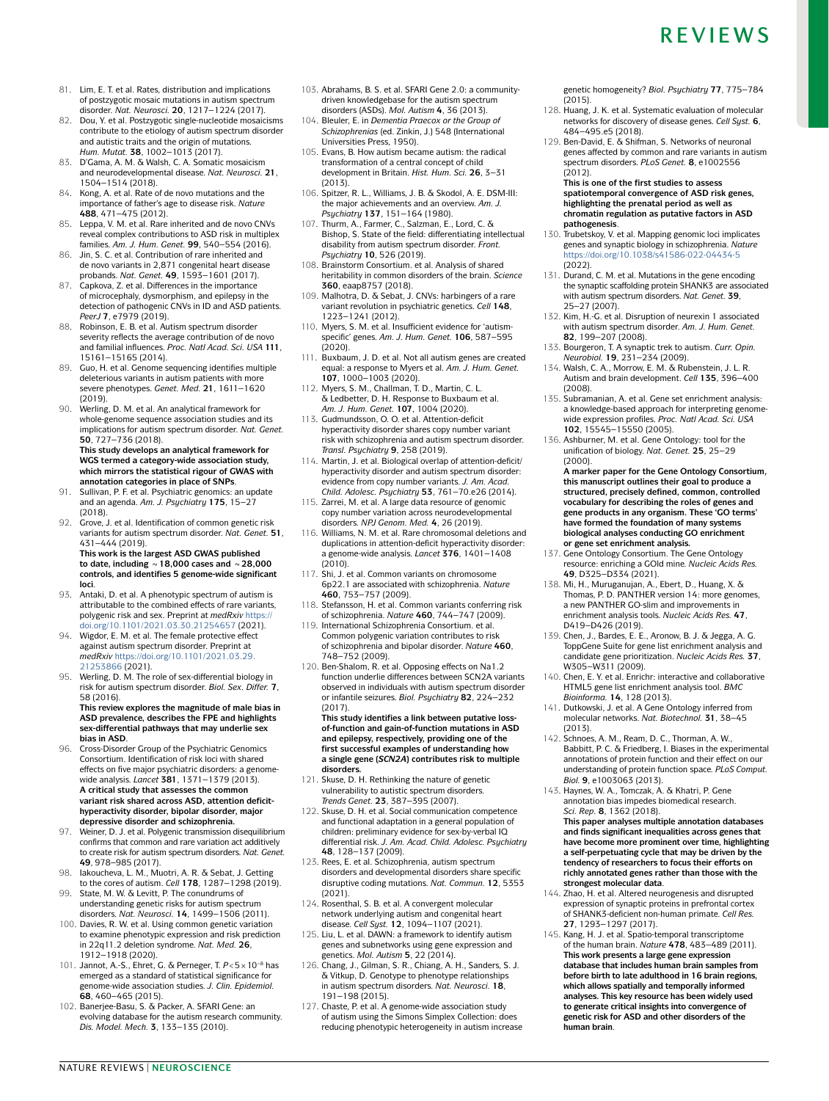- 81. Lim, E. T. et al. Rates, distribution and implications of postzygotic mosaic mutations in autism spectrum disorder. *Nat. Neurosci.* **20**, 1217–1224 (2017).
- <span id="page-16-1"></span>82. Dou, Y. et al. Postzygotic single-nucleotide mosaicisms contribute to the etiology of autism spectrum disorder and autistic traits and the origin of mutations. *Hum. Mutat.* **38**, 1002–1013 (2017).
- <span id="page-16-0"></span>83. D'Gama, A. M. & Walsh, C. A. Somatic mosaicism and neurodevelopmental disease. *Nat. Neurosci.* **21**, 1504–1514 (2018).
- <span id="page-16-2"></span>84. Kong, A. et al. Rate of de novo mutations and the importance of father's age to disease risk. *Nature* **488**, 471–475 (2012).
- 85. Leppa, V. M. et al. Rare inherited and de novo CNVs reveal complex contributions to ASD risk in multiplex families. *Am. J. Hum. Genet.* **99**, 540–554 (2016).
- 86. Jin, S. C. et al. Contribution of rare inherited and de novo variants in 2,871 congenital heart disease probands. *Nat. Genet.* **49**, 1593–1601 (2017).
- Capkova, Z. et al. Differences in the importance of microcephaly, dysmorphism, and epilepsy in the detection of pathogenic CNVs in ID and ASD patients. *PeerJ* **7**, e7979 (2019).
- <span id="page-16-33"></span>88. Robinson, E. B. et al. Autism spectrum disorder severity reflects the average contribution of de novo and familial influences. *Proc. Natl Acad. Sci. USA* **111**, 15161–15165 (2014).
- <span id="page-16-3"></span>89. Guo, H. et al. Genome sequencing identifies multiple deleterious variants in autism patients with more severe phenotypes. *Genet. Med.* **21**, 1611–1620 (2019).
- <span id="page-16-4"></span>90. Werling, D. M. et al. An analytical framework for whole- genome sequence association studies and its implications for autism spectrum disorder. *Nat. Genet.* **50**, 727–736 (2018).

**This study develops an analytical framework for WGS termed a category- wide association study, which mirrors the statistical rigour of GWAS with annotation categories in place of SNPs**.

- <span id="page-16-6"></span>Sullivan, P. F. et al. Psychiatric genomics: an update and an agenda. *Am. J. Psychiatry* **175**, 15–27 (2018).
- <span id="page-16-5"></span>92. Grove, J. et al. Identification of common genetic risk variants for autism spectrum disorder. *Nat. Genet.* **51**, 431–444 (2019).

**This work is the largest ASD GWAS published to date, including ~18,000 cases and ~28,000 controls, and identifies 5 genome- wide significant loci**.

- <span id="page-16-7"></span>93. Antaki, D. et al. A phenotypic spectrum of autism is attributable to the combined effects of rare variants, polygenic risk and sex. Preprint at *medRxiv* [https://](https://doi.org/10.1101/2021.03.30.21254657) [doi.org/10.1101/2021.03.30.21254657](https://doi.org/10.1101/2021.03.30.21254657) (2021).
- <span id="page-16-8"></span>94. Wigdor, E. M. et al. The female protective effect against autism spectrum disorder. Preprint at *medRxiv* [https://doi.org/10.1101/2021.03.29.](https://doi.org/10.1101/2021.03.29.21253866) [21253866](https://doi.org/10.1101/2021.03.29.21253866) (2021).
- <span id="page-16-9"></span>95. Werling, D. M. The role of sex- differential biology in risk for autism spectrum disorder. *Biol. Sex. Differ.* **7**, 58 (2016).

**This review explores the magnitude of male bias in ASD prevalence, describes the FPE and highlights sex- differential pathways that may underlie sex bias in ASD**.

- <span id="page-16-10"></span>96. Cross-Disorder Group of the Psychiatric Genomics Consortium. Identification of risk loci with shared effects on five major psychiatric disorders: a genome wide analysis. *Lancet* **381**, 1371–1379 (2013). **A critical study that assesses the common variant risk shared across ASD, attention deficithyperactivity disorder, bipolar disorder, major depressive disorder and schizophrenia.**
- <span id="page-16-11"></span>97. Weiner, D. J. et al. Polygenic transmission disequilibrium confirms that common and rare variation act additively to create risk for autism spectrum disorders. *Nat. Genet.* **49**, 978–985 (2017).
- <span id="page-16-12"></span>98. Iakoucheva, L. M., Muotri, A. R. & Sebat, J. Getting to the cores of autism. *Cell* **178**, 1287–1298 (2019). 99. State, M. W. & Levitt, P. The conundrums of
- <span id="page-16-13"></span>understanding genetic risks for autism spectrum disorders. *Nat. Neurosci.* **14**, 1499–1506 (2011). 100. Davies, R. W. et al. Using common genetic variation
- <span id="page-16-14"></span>to examine phenotypic expression and risk prediction in 22q11.2 deletion syndrome. *Nat. Med.* **26**, 1912–1918 (2020).
- <span id="page-16-15"></span>101. Jannot, A.-S., Ehret, G. & Perneger, T. *P*< 5 × 10–8 has emerged as a standard of statistical significance for genome- wide association studies. *J. Clin. Epidemiol.* **68**, 460–465 (2015).
- <span id="page-16-17"></span>102. Banerjee-Basu, S. & Packer, A. SFARI Gene: an evolving database for the autism research community. *Dis. Model. Mech.* **3**, 133–135 (2010).
- <span id="page-16-18"></span>103. Abrahams, B. S. et al. SFARI Gene 2.0: a communitydriven knowledgebase for the autism spectrum
- <span id="page-16-19"></span>disorders (ASDs). *Mol. Autism* **4**, 36 (2013). 104. Bleuler, E. in *Dementia Praecox or the Group of Schizophrenias* (ed. Zinkin, J.) 548 (International Universities Press, 1950).
- <span id="page-16-20"></span>105. Evans, B. How autism became autism: the radical transformation of a central concept of child development in Britain. *Hist. Hum. Sci.* **26**, 3–31  $(2013)$
- <span id="page-16-21"></span>106. Spitzer, R. L., Williams, J. B. & Skodol, A. E. DSM-III: the major achievements and an overview. *Am. J. Psychiatry* **137**, 151–164 (1980).
- <span id="page-16-22"></span>107. Thurm, A., Farmer, C., Salzman, E., Lord, C. & Bishop, S. State of the field: differentiating intellectual disability from autism spectrum disorder. *Front. Psychiatry* **10**, 526 (2019).
- <span id="page-16-23"></span>108. Brainstorm Consortium. et al. Analysis of shared heritability in common disorders of the brain. *Science* **360**, eaap8757 (2018).
- 109. Malhotra, D. & Sebat, J. CNVs: harbingers of a rare variant revolution in psychiatric genetics. *Cell* **148**, 1223–1241 (2012).
- <span id="page-16-27"></span>110. Myers, S. M. et al. Insufficient evidence for 'autismspecific' genes. *Am. J. Hum. Genet.* **106**, 587–595 (2020).
- 111. Buxbaum, J. D. et al. Not all autism genes are created equal: a response to Myers et al. *Am. J. Hum. Genet.* **107**, 1000–1003 (2020).
- <span id="page-16-24"></span>112. Myers, S. M., Challman, T. D., Martin, C. L. & Ledbetter, D. H. Response to Buxbaum et al. *Am. J. Hum. Genet.* **107**, 1004 (2020).
- <span id="page-16-25"></span>113. Gudmundsson, O. O. et al. Attention- deficit hyperactivity disorder shares copy number variant risk with schizophrenia and autism spectrum disorder. *Transl. Psychiatry* **9**, 258 (2019).
- 114. Martin, J. et al. Biological overlap of attention- deficit/ hyperactivity disorder and autism spectrum disorder: evidence from copy number variants. *J. Am. Acad. Child. Adolesc. Psychiatry* **53**, 761–70.e26 (2014).
- 115. Zarrei, M. et al. A large data resource of genomic copy number variation across neurodevelopmental disorders. *NPJ Genom. Med.* **4**, 26 (2019).
- <span id="page-16-26"></span>116. Williams, N. M. et al. Rare chromosomal deletions and duplications in attention- deficit hyperactivity disorder: a genome- wide analysis. *Lancet* **376**, 1401–1408 (2010).
- <span id="page-16-28"></span>117. Shi, J. et al. Common variants on chromosome 6p22.1 are associated with schizophrenia. *Nature* **460**, 753–757 (2009).
- 118. Stefansson, H. et al. Common variants conferring risk of schizophrenia. *Nature* **460**, 744–747 (2009).
- <span id="page-16-29"></span>119. International Schizophrenia Consortium. et al. Common polygenic variation contributes to risk of schizophrenia and bipolar disorder. *Nature* **460**, 748–752 (2009).
- <span id="page-16-30"></span>120. Ben-Shalom, R. et al. Opposing effects on Na1.2 function underlie differences between SCN2A variants observed in individuals with autism spectrum disorder or infantile seizures. *Biol. Psychiatry* **82**, 224–232 (2017).

**This study identifies a link between putative lossof-function and gain- of-function mutations in ASD and epilepsy, respectively, providing one of the first successful examples of understanding how a single gene (***SCN2A***) contributes risk to multiple disorders.**

- <span id="page-16-31"></span>121. Skuse, D. H. Rethinking the nature of genetic vulnerability to autistic spectrum disorders. *Trends Genet.* **23**, 387–395 (2007).
- <span id="page-16-32"></span>122. Skuse, D. H. et al. Social communication competence and functional adaptation in a general population of children: preliminary evidence for sex-by-verbal IQ differential risk. *J. Am. Acad. Child. Adolesc. Psychiatry* **48**, 128–137 (2009).
- <span id="page-16-34"></span>123. Rees, E. et al. Schizophrenia, autism spectrum disorders and developmental disorders share specific disruptive coding mutations. *Nat. Commun.* **12**, 5353 (2021).
- <span id="page-16-35"></span>124. Rosenthal, S. B. et al. A convergent molecular network underlying autism and congenital heart disease. *Cell Syst.* **12**, 1094–1107 (2021).
- <span id="page-16-36"></span>125. Liu, L. et al. DAWN: a framework to identify autism genes and subnetworks using gene expression and genetics. *Mol. Autism* **5**, 22 (2014).
- <span id="page-16-37"></span>126. Chang, J., Gilman, S. R., Chiang, A. H., Sanders, S. J. & Vitkup, D. Genotype to phenotype relationships in autism spectrum disorders. *Nat. Neurosci.* **18**, 191–198 (2015).
- <span id="page-16-38"></span>127. Chaste, P. et al. A genome- wide association study of autism using the Simons Simplex Collection: does reducing phenotypic heterogeneity in autism increase

genetic homogeneity? *Biol. Psychiatry* **77**, 775–784  $(2015)$ 

- <span id="page-16-39"></span>128. Huang, J. K. et al. Systematic evaluation of molecular networks for discovery of disease genes. *Cell Syst.* **6**, 484–495.e5 (2018).
- <span id="page-16-40"></span>129. Ben-David, E. & Shifman, S. Networks of neuronal genes affected by common and rare variants in autism spectrum disorders. *PLoS Genet.* **8**, e1002556 (2012).

**This is one of the first studies to assess spatiotemporal convergence of ASD risk genes, highlighting the prenatal period as well as chromatin regulation as putative factors in ASD** 

- <span id="page-16-16"></span>**pathogenesis**. 130. Trubetskoy, V. et al. Mapping genomic loci implicates genes and synaptic biology in schizophrenia. *Nature* <https://doi.org/10.1038/s41586-022-04434-5> (2022).
- <span id="page-16-41"></span>131. Durand, C. M. et al. Mutations in the gene encoding the synaptic scaffolding protein SHANK3 are associated with autism spectrum disorders. *Nat. Genet.* **39**,
- <span id="page-16-42"></span>25–27 (2007). 132. Kim, H.-G. et al. Disruption of neurexin 1 associated with autism spectrum disorder. *Am. J. Hum. Genet.* **82**, 199–207 (2008).
- <span id="page-16-43"></span>133. Bourgeron, T. A synaptic trek to autism. *Curr. Opin. Neurobiol.* **19**, 231–234 (2009).
- <span id="page-16-44"></span>134. Walsh, C. A., Morrow, E. M. & Rubenstein, J. L. R. Autism and brain development. *Cell* **135**, 396–400 (2008).
- <span id="page-16-45"></span>135. Subramanian, A. et al. Gene set enrichment analysis: a knowledge-based approach for interpreting genomewide expression profiles. *Proc. Natl Acad. Sci. USA* **102**, 15545–15550 (2005).
- 136. Ashburner, M. et al. Gene Ontology: tool for the unification of biology. *Nat. Genet.* **25**, 25–29 (2000).

**A marker paper for the Gene Ontology Consortium, this manuscript outlines their goal to produce a structured, precisely defined, common, controlled vocabulary for describing the roles of genes and gene products in any organism. These 'GO terms' have formed the foundation of many systems biological analyses conducting GO enrichment or gene set enrichment analysis.**

- 137. Gene Ontology Consortium. The Gene Ontology resource: enriching a GOld mine. *Nucleic Acids Res.* **49**, D325–D334 (2021). 138. Mi, H., Muruganujan, A., Ebert, D., Huang, X. &
- Thomas, P. D. PANTHER version 14: more genomes, a new PANTHER GO-slim and improvements in enrichment analysis tools. *Nucleic Acids Res.* **47**, D419–D426 (2019).
- 139. Chen, J., Bardes, E. E., Aronow, B. J. & Jegga, A. G. ToppGene Suite for gene list enrichment analysis and candidate gene prioritization. *Nucleic Acids Res.* **37**, W305–W311 (2009).
- <span id="page-16-46"></span>140. Chen, E. Y. et al. Enrichr: interactive and collaborative HTML5 gene list enrichment analysis tool. *BMC Bioinforma.* **14**, 128 (2013).
- <span id="page-16-47"></span>141. Dutkowski, J. et al. A Gene Ontology inferred from molecular networks. *Nat. Biotechnol.* **31**, 38–45 (2013).
- <span id="page-16-48"></span>142. Schnoes, A. M., Ream, D. C., Thorman, A. W., Babbitt, P. C. & Friedberg, I. Biases in the experimental annotations of protein function and their effect on our understanding of protein function space. *PLoS Comput. Biol.* **9**, e1003063 (2013).
- <span id="page-16-49"></span>143. Haynes, W. A., Tomczak, A. & Khatri, P. Gene annotation bias impedes biomedical research. *Sci. Rep.* **8**, 1362 (2018).

**This paper analyses multiple annotation databases and finds significant inequalities across genes that have become more prominent over time, highlighting a self- perpetuating cycle that may be driven by the tendency of researchers to focus their efforts on richly annotated genes rather than those with the strongest molecular data**.

- <span id="page-16-50"></span>144. Zhao, H. et al. Altered neurogenesis and disrupted expression of synaptic proteins in prefrontal cortex of SHANK3-deficient non- human primate. *Cell Res.* **27**, 1293–1297 (2017).
- <span id="page-16-51"></span>145. Kang, H. J. et al. Spatio-temporal transcriptome of the human brain. *Nature* **478**, 483–489 (2011). **This work presents a large gene expression database that includes human brain samples from before birth to late adulthood in 16 brain regions, which allows spatially and temporally informed analyses. This key resource has been widely used to generate critical insights into convergence of genetic risk for ASD and other disorders of the human brain**.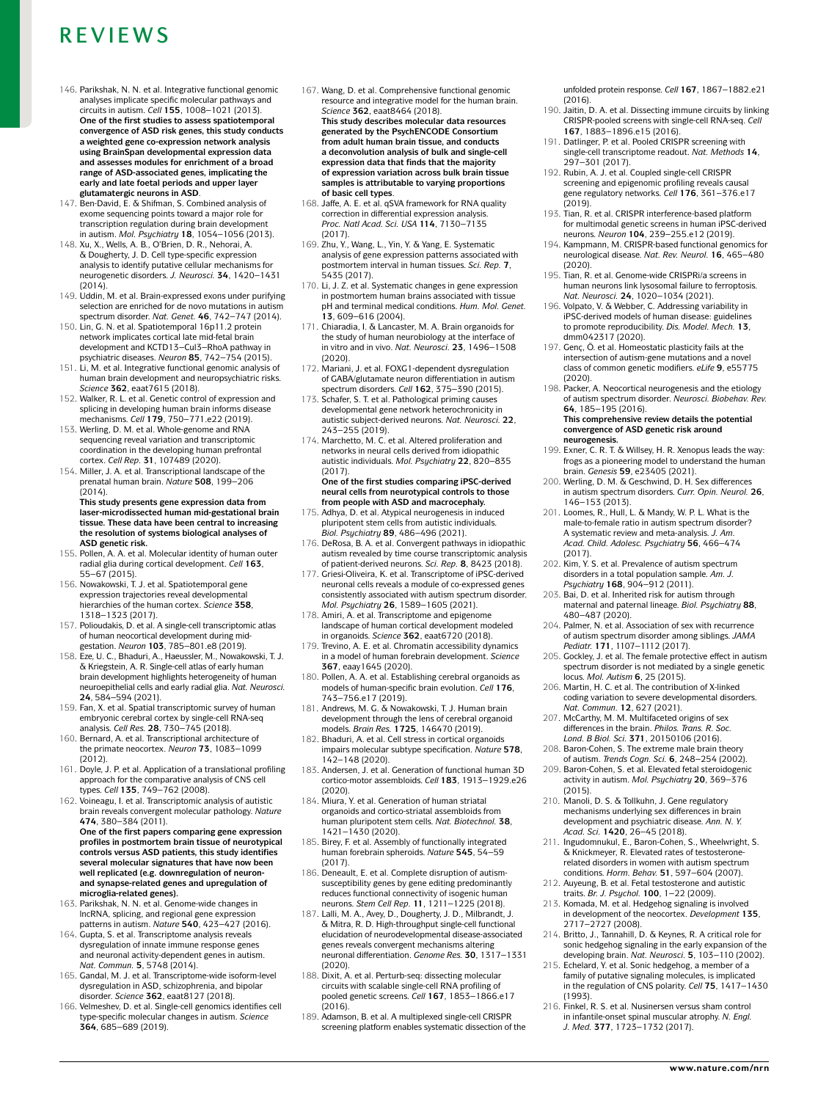- <span id="page-17-0"></span>146. Parikshak, N. N. et al. Integrative functional genomic analyses implicate specific molecular pathways and circuits in autism. *Cell* **155**, 1008–1021 (2013). **One of the first studies to assess spatiotemporal convergence of ASD risk genes, this study conducts**  a weighted gene co-expression network analysis<br>using BrainSpan developmental expression data **and assesses modules for enrichment of a broad range of ASD- associated genes, implicating the early and late foetal periods and upper layer glutamatergic neurons in ASD**.
- <span id="page-17-1"></span>147. Ben-David, E. & Shifman, S. Combined analysis of exome sequencing points toward a major role for transcription regulation during brain development in autism. *Mol. Psychiatry* **18**, 1054–1056 (2013).
- <span id="page-17-2"></span>148. Xu, X., Wells, A. B., O'Brien, D. R., Nehorai, A. & Dougherty, J. D. Cell type- specific expression analysis to identify putative cellular mechanisms for neurogenetic disorders. *J. Neurosci.* **34**, 1420–1431  $(2014)$
- <span id="page-17-17"></span>149. Uddin, M. et al. Brain-expressed exons under purifying selection are enriched for de novo mutations in autism spectrum disorder. *Nat. Genet.* **46**, 742–747 (2014).
- 150. Lin, G. N. et al. Spatiotemporal 16p11.2 protein network implicates cortical late mid- fetal brain development and KCTD13–Cul3–RhoA pathway in psychiatric diseases. *Neuron* **85**, 742–754 (2015).
- <span id="page-17-5"></span>151. Li, M. et al. Integrative functional genomic analysis of human brain development and neuropsychiatric risks. *Science* **362**, eaat7615 (2018).
- <span id="page-17-54"></span>152. Walker, R. L. et al. Genetic control of expression and splicing in developing human brain informs disease mechanisms. *Cell* **179**, 750–771.e22 (2019).
- <span id="page-17-3"></span>153. Werling, D. M. et al. Whole-genome and RNA sequencing reveal variation and transcriptomic coordination in the developing human prefrontal cortex. *Cell Rep.* **31**, 107489 (2020).
- <span id="page-17-4"></span>154. Miller, J. A. et al. Transcriptional landscape of the prenatal human brain. *Nature* **508**, 199–206  $(2014)$ **This study presents gene expression data from laser- microdissected human mid- gestational brain tissue. These data have been central to increasing the resolution of systems biological analyses of**
- <span id="page-17-6"></span>**ASD genetic risk.** 155. Pollen, A. A. et al. Molecular identity of human outer radial glia during cortical development. *Cell* **163**, 55–67 (2015).
- <span id="page-17-55"></span>156. Nowakowski, T. J. et al. Spatiotemporal gene expression trajectories reveal developmental hierarchies of the human cortex. *Science* **358**, 1318–1323 (2017).
- <span id="page-17-8"></span>157. Polioudakis, D. et al. A single- cell transcriptomic atlas of human neocortical development during midgestation. *Neuron* **103**, 785–801.e8 (2019).
- <span id="page-17-7"></span>158. Eze, U. C., Bhaduri, A., Haeussler, M., Nowakowski, T. J.  $\&$  Kriegstein, A. R. Single-cell atlas of early human brain development highlights heterogeneity of human neuroepithelial cells and early radial glia. *Nat. Neurosci.* **24**, 584–594 (2021).
- <span id="page-17-9"></span>159. Fan, X. et al. Spatial transcriptomic survey of human embryonic cerebral cortex by single-cell RNA-seq analysis. *Cell Res.* **28**, 730–745 (2018).
- <span id="page-17-10"></span>160. Bernard, A. et al. Transcriptional architecture of the primate neocortex. *Neuron* **73**, 1083–1099 (2012).
- <span id="page-17-11"></span>161. Doyle, J. P. et al. Application of a translational profiling approach for the comparative analysis of CNS cell types. *Cell* **135**, 749–762 (2008).
- <span id="page-17-12"></span>162. Voineagu, I. et al. Transcriptomic analysis of autistic brain reveals convergent molecular pathology. *Nature* **474**, 380–384 (2011). **One of the first papers comparing gene expression**

**profiles in postmortem brain tissue of neurotypical controls versus ASD patients, this study identifies several molecular signatures that have now been well replicated (e.g. downregulation of neuronand synapse- related genes and upregulation of microglia- related genes).**

- <span id="page-17-13"></span>163. Parikshak, N. N. et al. Genome- wide changes in lncRNA, splicing, and regional gene expression patterns in autism. *Nature* **540**, 423–427 (2016).
- <span id="page-17-16"></span>164. Gupta, S. et al. Transcriptome analysis reveals dysregulation of innate immune response genes and neuronal activity- dependent genes in autism. *Nat. Commun.* **5**, 5748 (2014).
- <span id="page-17-18"></span>165. Gandal, M. J. et al. Transcriptome-wide isoform-level dysregulation in ASD, schizophrenia, and bipolar disorder. *Science* **362**, eaat8127 (2018).
- <span id="page-17-14"></span>166. Velmeshev, D. et al. Single- cell genomics identifies cell type- specific molecular changes in autism. *Science* **364**, 685–689 (2019).
- <span id="page-17-15"></span>167. Wang, D. et al. Comprehensive functional genomic resource and integrative model for the human brain. *Science* **362**, eaat8464 (2018). **This study describes molecular data resources generated by the PsychENCODE Consortium from adult human brain tissue, and conducts a deconvolution analysis of bulk and single- cell expression data that finds that the majority of expression variation across bulk brain tissue samples is attributable to varying proportions of basic cell types**.
- <span id="page-17-20"></span>168. Jaffe, A. E. et al. qSVA framework for RNA quality correction in differential expression analysis. *Proc. Natl Acad. Sci. USA* **114**, 7130–7135  $(2017)$
- 169. Zhu, Y., Wang, L., Yin, Y. & Yang, E. Systematic analysis of gene expression patterns associated with postmortem interval in human tissues. *Sci. Rep.* **7**, 5435 (2017).
- <span id="page-17-21"></span>170. Li, J. Z. et al. Systematic changes in gene expression in postmortem human brains associated with tissue pH and terminal medical conditions. *Hum. Mol. Genet.* **13**, 609–616 (2004).
- <span id="page-17-22"></span>171. Chiaradia, I. & Lancaster, M. A. Brain organoids for the study of human neurobiology at the interface of in vitro and in vivo. *Nat. Neurosci.* **23**, 1496–1508 (2020).
- <span id="page-17-23"></span>172. Mariani, J. et al. FOXG1-dependent dysregulation of GABA/glutamate neuron differentiation in autism spectrum disorders. *Cell* **162**, 375–390 (2015).
- 173. Schafer, S. T. et al. Pathological priming causes developmental gene network heterochronicity in autistic subject- derived neurons. *Nat. Neurosci.* **22**, 243–255 (2019).
- <span id="page-17-24"></span>174. Marchetto, M. C. et al. Altered proliferation and networks in neural cells derived from idiopathic autistic individuals. *Mol. Psychiatry* **22**, 820–835  $(2017)$

**One of the first studies comparing iPSC-derived neural cells from neurotypical controls to those from people with ASD and macrocephaly.**

- <span id="page-17-25"></span>175. Adhya, D. et al. Atypical neurogenesis in induced pluripotent stem cells from autistic individuals. *Biol. Psychiatry* **89**, 486–496 (2021).
- 176. DeRosa, B. A. et al. Convergent pathways in idiopathic autism revealed by time course transcriptomic analysis of patient- derived neurons. *Sci. Rep.* **8**, 8423 (2018).
- 177. Griesi- Oliveira, K. et al. Transcriptome of iPSC- derived neuronal cells reveals a module of co-expressed genes consistently associated with autism spectrum disorder. *Mol. Psychiatry* **26**, 1589–1605 (2021).
- <span id="page-17-26"></span>178. Amiri, A. et al. Transcriptome and epigenome landscape of human cortical development modeled in organoids. *Science* **362**, eaat6720 (2018).
- <span id="page-17-27"></span>179. Trevino, A. E. et al. Chromatin accessibility dynamics in a model of human forebrain development. *Science* **367**, eaay1645 (2020).
- <span id="page-17-28"></span>180. Pollen, A. A. et al. Establishing cerebral organoids as models of human- specific brain evolution. *Cell* **176**, 743–756.e17 (2019).
- 181. Andrews, M. G. & Nowakowski, T. J. Human brain development through the lens of cerebral organoid models. *Brain Res.* **1725**, 146470 (2019).
- <span id="page-17-29"></span>182. Bhaduri, A. et al. Cell stress in cortical organoids impairs molecular subtype specification. *Nature* **578**, 142–148 (2020).
- <span id="page-17-30"></span>183. Andersen, J. et al. Generation of functional human 3D cortico- motor assembloids. *Cell* **183**, 1913–1929.e26
- (2020). 184. Miura, Y. et al. Generation of human striatal organoids and cortico- striatal assembloids from human pluripotent stem cells. *Nat. Biotechnol.* **38**, 1421–1430 (2020).
- <span id="page-17-31"></span>185. Birey, F. et al. Assembly of functionally integrated human forebrain spheroids. *Nature* **545**, 54–59 (2017).
- <span id="page-17-32"></span>186. Deneault, E. et al. Complete disruption of autismsusceptibility genes by gene editing predominantly reduces functional connectivity of isogenic human neurons. *Stem Cell Rep.* **11**, 1211–1225 (2018).
- <span id="page-17-33"></span>187. Lalli, M. A., Avey, D., Dougherty, J. D., Milbrandt, J.  $\&$  Mitra, R. D. High-throughput single-cell functional elucidation of neurodevelopmental disease- associated genes reveals convergent mechanisms altering neuronal differentiation. *Genome Res.* **30**, 1317–1331 (2020).
- <span id="page-17-34"></span>188. Dixit, A. et al. Perturb-seq: dissecting molecular circuits with scalable single- cell RNA profiling of pooled genetic screens. *Cell* **167**, 1853–1866.e17  $(2016)$
- 189. Adamson, B. et al. A multiplexed single- cell CRISPR screening platform enables systematic dissection of the

unfolded protein response. *Cell* **167**, 1867–1882.e21 (2016).

- 190. Jaitin, D. A. et al. Dissecting immune circuits by linking CRISPR- pooled screens with single- cell RNA- seq. *Cell* **167**, 1883–1896.e15 (2016).
- 191. Datlinger, P. et al. Pooled CRISPR screening with single- cell transcriptome readout. *Nat. Methods* **14**, 297–301 (2017).
- 192. Rubin, A. J. et al. Coupled single-cell CRISPR screening and epigenomic profiling reveals causal gene regulatory networks. *Cell* **176**, 361–376.e17  $(2019)$
- 193. Tian, R. et al. CRISPR interference- based platform for multimodal genetic screens in human iPSC- derived neurons. *Neuron* **104**, 239–255.e12 (2019).
- 194. Kampmann, M. CRISPR- based functional genomics for neurological disease. *Nat. Rev. Neurol.* **16**, 465–480 (2020).
- <span id="page-17-35"></span>195. Tian, R. et al. Genome- wide CRISPRi/a screens in human neurons link lysosomal failure to ferroptosis.
- <span id="page-17-36"></span>*Nat. Neurosci.* **24**, 1020–1034 (2021).<br>196. Volpato, V. & Webber, C. Addressing variability in iPSC- derived models of human disease: guidelines to promote reproducibility. *Dis. Model. Mech.* **13**, dmm042317 (2020).
- <span id="page-17-37"></span>197. Genç, Ö. et al. Homeostatic plasticity fails at the intersection of autism-gene mutations and a novel class of common genetic modifiers. *eLife* **9**, e55775 (2020).
- <span id="page-17-38"></span>198. Packer, A. Neocortical neurogenesis and the etiology of autism spectrum disorder. *Neurosci. Biobehav. Rev.* **64**, 185–195 (2016). **This comprehensive review details the potential convergence of ASD genetic risk around neurogenesis.**
- <span id="page-17-19"></span>199. Exner, C. R. T. & Willsey, H. R. Xenopus leads the way: frogs as a pioneering model to understand the human brain. *Genesis* **59**, e23405 (2021).
- <span id="page-17-39"></span>200. Werling, D. M. & Geschwind, D. H. Sex differences in autism spectrum disorders. *Curr. Opin. Neurol.* **26**, 146–153 (2013).
- <span id="page-17-40"></span>201. Loomes, R., Hull, L. & Mandy, W. P. L. What is the male- to-female ratio in autism spectrum disorder? A systematic review and meta- analysis. *J. Am. Acad. Child. Adolesc. Psychiatry* **56**, 466–474 (2017).
- <span id="page-17-41"></span>202. Kim, Y. S. et al. Prevalence of autism spectrum disorders in a total population sample. *Am. J. Psychiatry* **168**, 904–912 (2011).
- <span id="page-17-42"></span>203. Bai, D. et al. Inherited risk for autism through maternal and paternal lineage. *Biol. Psychiatry* **88**,
- <span id="page-17-43"></span>480–487 (2020). 204. Palmer, N. et al. Association of sex with recurrence of autism spectrum disorder among siblings. *JAMA Pediatr.* **171**, 1107–1112 (2017).
- <span id="page-17-44"></span>205. Gockley, J. et al. The female protective effect in autism spectrum disorder is not mediated by a single genetic locus. *Mol. Autism* **6**, 25 (2015).<br>206. Martin, H. C. et al. The contribution of X-linked
- <span id="page-17-45"></span>coding variation to severe developmental disorders. *Nat. Commun.* **12**, 627 (2021).
- <span id="page-17-46"></span>207. McCarthy, M. M. Multifaceted origins of sex differences in the brain. *Philos. Trans. R. Soc. Lond. B Biol. Sci.* **371**, 20150106 (2016).
- <span id="page-17-47"></span>208. Baron-Cohen, S. The extreme male brain theory of autism. *Trends Cogn. Sci.* **6**, 248–254 (2002).
- <span id="page-17-49"></span>209. Baron-Cohen, S. et al. Elevated fetal steroidogenic activity in autism. *Mol. Psychiatry* **20**, 369–376 (2015).
- <span id="page-17-48"></span>210. Manoli, D. S. & Tollkuhn, J. Gene regulatory mechanisms underlying sex differences in brain development and psychiatric disease. *Ann. N. Y. Acad. Sci.* **1420**, 26–45 (2018).
- <span id="page-17-50"></span>211. Ingudomnukul, E., Baron-Cohen, S., Wheelwright, S. & Knickmeyer, R. Elevated rates of testosteronerelated disorders in women with autism spectrum conditions. *Horm. Behav.* **51**, 597–604 (2007).
- <span id="page-17-51"></span>212. Auyeung, B. et al. Fetal testosterone and autistic traits. *Br. J. Psychol.* **100**, 1–22 (2009).
- <span id="page-17-52"></span>213. Komada, M. et al. Hedgehog signaling is involved in development of the neocortex. *Development* **135**, 2717–2727 (2008).
- 214. Britto, J., Tannahill, D. & Keynes, R. A critical role for sonic hedgehog signaling in the early expansion of the developing brain. *Nat. Neurosci.* **5**, 103–110 (2002).
- <span id="page-17-53"></span>215. Echelard, Y. et al. Sonic hedgehog, a member of a family of putative signaling molecules, is implicated in the regulation of CNS polarity. *Cell* **75**, 1417–1430 (1993).
- <span id="page-17-56"></span>216. Finkel, R. S. et al. Nusinersen versus sham control in infantile- onset spinal muscular atrophy. *N. Engl. J. Med.* **377**, 1723–1732 (2017).